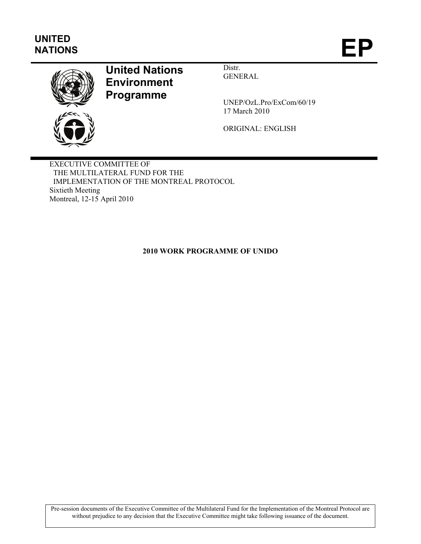# **UNITED**  UNITED<br>NATIONS **EP**



# **United Nations Environment Programme**

Distr. GENERAL

UNEP/OzL.Pro/ExCom/60/19 17 March 2010

ORIGINAL: ENGLISH

EXECUTIVE COMMITTEE OF THE MULTILATERAL FUND FOR THE IMPLEMENTATION OF THE MONTREAL PROTOCOL Sixtieth Meeting Montreal, 12-15 April 2010

# **2010 WORK PROGRAMME OF UNIDO**

Pre-session documents of the Executive Committee of the Multilateral Fund for the Implementation of the Montreal Protocol are without prejudice to any decision that the Executive Committee might take following issuance of the document.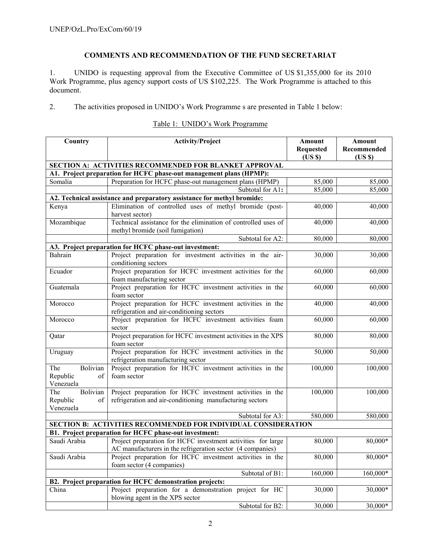# **COMMENTS AND RECOMMENDATION OF THE FUND SECRETARIAT**

1. UNIDO is requesting approval from the Executive Committee of US \$1,355,000 for its 2010 Work Programme, plus agency support costs of US \$102,225. The Work Programme is attached to this document.

2. The activities proposed in UNIDO's Work Programme s are presented in Table 1 below:

| Country                                                        | <b>Activity/Project</b>                                                                                            | Amount<br><b>Requested</b> | Amount<br>Recommended |  |  |
|----------------------------------------------------------------|--------------------------------------------------------------------------------------------------------------------|----------------------------|-----------------------|--|--|
|                                                                |                                                                                                                    | (USS)                      | (USS)                 |  |  |
|                                                                | SECTION A: ACTIVITIES RECOMMENDED FOR BLANKET APPROVAL                                                             |                            |                       |  |  |
|                                                                | A1. Project preparation for HCFC phase-out management plans (HPMP):                                                |                            |                       |  |  |
| Somalia                                                        | Preparation for HCFC phase-out management plans (HPMP)                                                             | 85,000                     | 85,000                |  |  |
|                                                                | Subtotal for A1:                                                                                                   | 85,000                     | 85,000                |  |  |
|                                                                | A2. Technical assistance and preparatory assistance for methyl bromide:                                            |                            |                       |  |  |
| Kenya                                                          | Elimination of controlled uses of methyl bromide (post-                                                            | 40,000                     | 40,000                |  |  |
|                                                                | harvest sector)                                                                                                    |                            |                       |  |  |
| Mozambique                                                     | Technical assistance for the elimination of controlled uses of                                                     | 40,000                     | 40,000                |  |  |
|                                                                | methyl bromide (soil fumigation)                                                                                   |                            |                       |  |  |
|                                                                | Subtotal for A2:                                                                                                   | 80,000                     | 80,000                |  |  |
|                                                                | A3. Project preparation for HCFC phase-out investment:                                                             |                            |                       |  |  |
| Bahrain                                                        | Project preparation for investment activities in the air-                                                          | 30,000                     | 30,000                |  |  |
| Ecuador                                                        | conditioning sectors<br>Project preparation for HCFC investment activities for the                                 |                            |                       |  |  |
|                                                                | foam manufacturing sector                                                                                          | 60,000                     | 60,000                |  |  |
| Guatemala                                                      | Project preparation for HCFC investment activities in the                                                          | 60,000                     | 60,000                |  |  |
|                                                                | foam sector                                                                                                        |                            |                       |  |  |
| Morocco                                                        | Project preparation for HCFC investment activities in the                                                          | 40,000                     | 40,000                |  |  |
|                                                                | refrigeration and air-conditioning sectors                                                                         |                            |                       |  |  |
| Morocco                                                        | Project preparation for HCFC investment activities foam                                                            | 60,000                     | 60,000                |  |  |
|                                                                | sector                                                                                                             |                            |                       |  |  |
| Qatar                                                          | Project preparation for HCFC investment activities in the XPS                                                      | 80,000                     | 80,000                |  |  |
|                                                                | foam sector                                                                                                        |                            |                       |  |  |
| Uruguay                                                        | Project preparation for HCFC investment activities in the                                                          | 50,000                     | 50,000                |  |  |
|                                                                | refrigeration manufacturing sector                                                                                 |                            |                       |  |  |
| Bolivian<br>The                                                | Project preparation for HCFC investment activities in the                                                          | 100,000                    | 100,000               |  |  |
| Republic<br>of                                                 | foam sector                                                                                                        |                            |                       |  |  |
| Venezuela                                                      |                                                                                                                    |                            |                       |  |  |
| The<br>Bolivian                                                | Project preparation for HCFC investment activities in the                                                          | 100,000                    | 100,000               |  |  |
| Republic<br>of                                                 | refrigeration and air-conditioning manufacturing sectors                                                           |                            |                       |  |  |
| Venezuela                                                      |                                                                                                                    |                            |                       |  |  |
|                                                                | Subtotal for A3:                                                                                                   | 580,000                    | 580,000               |  |  |
| SECTION B: ACTIVITIES RECOMMENDED FOR INDIVIDUAL CONSIDERATION |                                                                                                                    |                            |                       |  |  |
|                                                                | B1. Project preparation for HCFC phase-out investment:                                                             |                            |                       |  |  |
|                                                                | Saudi Arabia Project preparation for HCFC investment activities for large                                          | 80,000                     | $80,000*$             |  |  |
|                                                                | AC manufacturers in the refrigeration sector (4 companies)                                                         |                            |                       |  |  |
| Saudi Arabia                                                   | Project preparation for HCFC investment activities in the                                                          | 80,000                     | 80,000*               |  |  |
|                                                                | foam sector (4 companies)                                                                                          |                            | 160,000*              |  |  |
|                                                                | Subtotal of B1:                                                                                                    | 160,000                    |                       |  |  |
| China                                                          | B2. Project preparation for HCFC demonstration projects:<br>Project preparation for a demonstration project for HC | 30,000                     | 30,000*               |  |  |
|                                                                | blowing agent in the XPS sector                                                                                    |                            |                       |  |  |

# Table 1: UNIDO's Work Programme

Subtotal for B2:  $30,000$  30,000\*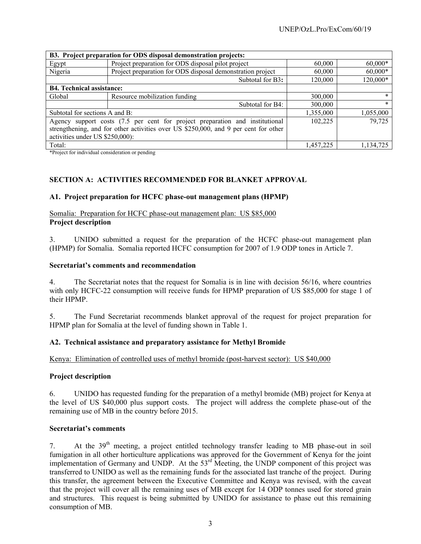| B3. Project preparation for ODS disposal demonstration projects:                    |                                                                              |                     |           |  |  |  |
|-------------------------------------------------------------------------------------|------------------------------------------------------------------------------|---------------------|-----------|--|--|--|
| Egypt                                                                               | Project preparation for ODS disposal pilot project                           | $60,000*$<br>60,000 |           |  |  |  |
| Nigeria                                                                             | Project preparation for ODS disposal demonstration project                   | 60,000              | $60,000*$ |  |  |  |
|                                                                                     | Subtotal for B3:                                                             | 120,000             | 120,000*  |  |  |  |
|                                                                                     | <b>B4. Technical assistance:</b>                                             |                     |           |  |  |  |
| Global                                                                              | Resource mobilization funding                                                | 300,000             | *         |  |  |  |
|                                                                                     | Subtotal for B4:                                                             | 300,000             | *         |  |  |  |
| Subtotal for sections A and B:                                                      |                                                                              | 1,355,000           | 1,055,000 |  |  |  |
|                                                                                     | Agency support costs (7.5 per cent for project preparation and institutional | 102,225             | 79,725    |  |  |  |
| strengthening, and for other activities over US \$250,000, and 9 per cent for other |                                                                              |                     |           |  |  |  |
| activities under US \$250,000):                                                     |                                                                              |                     |           |  |  |  |
| Total:                                                                              |                                                                              | 1,457,225           | 1,134,725 |  |  |  |

\*Project for individual consideration or pending

# **SECTION A: ACTIVITIES RECOMMENDED FOR BLANKET APPROVAL**

### **A1. Project preparation for HCFC phase-out management plans (HPMP)**

### Somalia: Preparation for HCFC phase-out management plan: US \$85,000 **Project description**

3. UNIDO submitted a request for the preparation of the HCFC phase-out management plan (HPMP) for Somalia. Somalia reported HCFC consumption for 2007 of 1.9 ODP tones in Article 7.

### **Secretariat's comments and recommendation**

4. The Secretariat notes that the request for Somalia is in line with decision 56/16, where countries with only HCFC-22 consumption will receive funds for HPMP preparation of US \$85,000 for stage 1 of their HPMP.

5. The Fund Secretariat recommends blanket approval of the request for project preparation for HPMP plan for Somalia at the level of funding shown in Table 1.

#### **A2. Technical assistance and preparatory assistance for Methyl Bromide**

### Kenya: Elimination of controlled uses of methyl bromide (post-harvest sector): US \$40,000

#### **Project description**

6. UNIDO has requested funding for the preparation of a methyl bromide (MB) project for Kenya at the level of US \$40,000 plus support costs. The project will address the complete phase-out of the remaining use of MB in the country before 2015.

#### **Secretariat's comments**

7. At the 39<sup>th</sup> meeting, a project entitled technology transfer leading to MB phase-out in soil fumigation in all other horticulture applications was approved for the Government of Kenya for the joint implementation of Germany and UNDP. At the 53<sup>rd</sup> Meeting, the UNDP component of this project was transferred to UNIDO as well as the remaining funds for the associated last tranche of the project. During this transfer, the agreement between the Executive Committee and Kenya was revised, with the caveat that the project will cover all the remaining uses of MB except for 14 ODP tonnes used for stored grain and structures. This request is being submitted by UNIDO for assistance to phase out this remaining consumption of MB.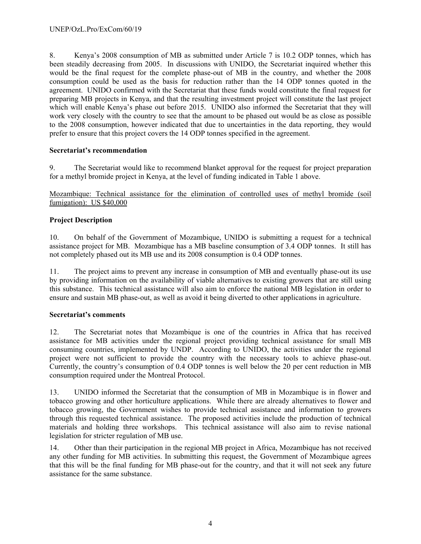8. Kenya's 2008 consumption of MB as submitted under Article 7 is 10.2 ODP tonnes, which has been steadily decreasing from 2005. In discussions with UNIDO, the Secretariat inquired whether this would be the final request for the complete phase-out of MB in the country, and whether the 2008 consumption could be used as the basis for reduction rather than the 14 ODP tonnes quoted in the agreement. UNIDO confirmed with the Secretariat that these funds would constitute the final request for preparing MB projects in Kenya, and that the resulting investment project will constitute the last project which will enable Kenya's phase out before 2015. UNIDO also informed the Secretariat that they will work very closely with the country to see that the amount to be phased out would be as close as possible to the 2008 consumption, however indicated that due to uncertainties in the data reporting, they would prefer to ensure that this project covers the 14 ODP tonnes specified in the agreement.

# **Secretariat's recommendation**

9. The Secretariat would like to recommend blanket approval for the request for project preparation for a methyl bromide project in Kenya, at the level of funding indicated in Table 1 above.

Mozambique: Technical assistance for the elimination of controlled uses of methyl bromide (soil fumigation): US \$40,000

# **Project Description**

10. On behalf of the Government of Mozambique, UNIDO is submitting a request for a technical assistance project for MB. Mozambique has a MB baseline consumption of 3.4 ODP tonnes. It still has not completely phased out its MB use and its 2008 consumption is 0.4 ODP tonnes.

11. The project aims to prevent any increase in consumption of MB and eventually phase-out its use by providing information on the availability of viable alternatives to existing growers that are still using this substance. This technical assistance will also aim to enforce the national MB legislation in order to ensure and sustain MB phase-out, as well as avoid it being diverted to other applications in agriculture.

# **Secretariat's comments**

12. The Secretariat notes that Mozambique is one of the countries in Africa that has received assistance for MB activities under the regional project providing technical assistance for small MB consuming countries, implemented by UNDP. According to UNIDO, the activities under the regional project were not sufficient to provide the country with the necessary tools to achieve phase-out. Currently, the country's consumption of 0.4 ODP tonnes is well below the 20 per cent reduction in MB consumption required under the Montreal Protocol.

13. UNIDO informed the Secretariat that the consumption of MB in Mozambique is in flower and tobacco growing and other horticulture applications. While there are already alternatives to flower and tobacco growing, the Government wishes to provide technical assistance and information to growers through this requested technical assistance. The proposed activities include the production of technical materials and holding three workshops. This technical assistance will also aim to revise national legislation for stricter regulation of MB use.

14. Other than their participation in the regional MB project in Africa, Mozambique has not received any other funding for MB activities. In submitting this request, the Government of Mozambique agrees that this will be the final funding for MB phase-out for the country, and that it will not seek any future assistance for the same substance.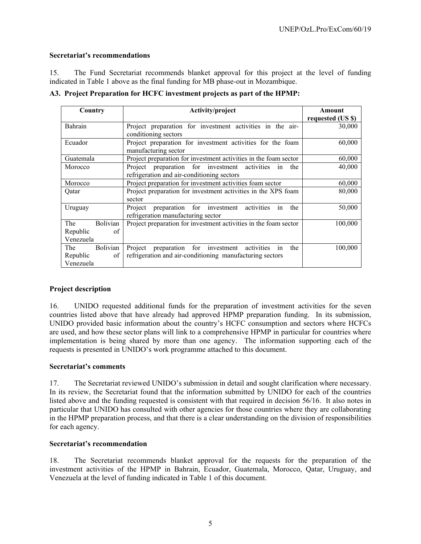# **Secretariat's recommendations**

15. The Fund Secretariat recommends blanket approval for this project at the level of funding indicated in Table 1 above as the final funding for MB phase-out in Mozambique.

**A3. Project Preparation for HCFC investment projects as part of the HPMP:** 

| Country                       | Activity/project                                                 | Amount            |
|-------------------------------|------------------------------------------------------------------|-------------------|
|                               |                                                                  | requested (US \$) |
| <b>Bahrain</b>                | Project preparation for investment activities in the air-        | 30,000            |
|                               | conditioning sectors                                             |                   |
| Ecuador                       | Project preparation for investment activities for the foam       | 60,000            |
|                               | manufacturing sector                                             |                   |
| Guatemala                     | Project preparation for investment activities in the foam sector | 60,000            |
| Morocco                       | Project preparation for investment activities<br>the<br>in       | 40,000            |
|                               | refrigeration and air-conditioning sectors                       |                   |
| Morocco                       | Project preparation for investment activities foam sector        | 60,000            |
| Qatar                         | Project preparation for investment activities in the XPS foam    | 80,000            |
|                               | sector                                                           |                   |
| Uruguay                       | preparation for investment<br>activities<br>Project<br>the<br>1n | 50,000            |
|                               | refrigeration manufacturing sector                               |                   |
| <b>Bolivian</b><br>The        | Project preparation for investment activities in the foam sector | 100,000           |
| Republic<br>of                |                                                                  |                   |
| Venezuela                     |                                                                  |                   |
| <b>Bolivian</b><br><b>The</b> | Project preparation for investment<br>activities<br>the<br>in    | 100,000           |
| of<br>Republic                | refrigeration and air-conditioning manufacturing sectors         |                   |
| Venezuela                     |                                                                  |                   |

# **Project description**

16. UNIDO requested additional funds for the preparation of investment activities for the seven countries listed above that have already had approved HPMP preparation funding. In its submission, UNIDO provided basic information about the country's HCFC consumption and sectors where HCFCs are used, and how these sector plans will link to a comprehensive HPMP in particular for countries where implementation is being shared by more than one agency. The information supporting each of the requests is presented in UNIDO's work programme attached to this document.

### **Secretariat's comments**

17. The Secretariat reviewed UNIDO's submission in detail and sought clarification where necessary. In its review, the Secretariat found that the information submitted by UNIDO for each of the countries listed above and the funding requested is consistent with that required in decision 56/16. It also notes in particular that UNIDO has consulted with other agencies for those countries where they are collaborating in the HPMP preparation process, and that there is a clear understanding on the division of responsibilities for each agency.

#### **Secretariat's recommendation**

18. The Secretariat recommends blanket approval for the requests for the preparation of the investment activities of the HPMP in Bahrain, Ecuador, Guatemala, Morocco, Qatar, Uruguay, and Venezuela at the level of funding indicated in Table 1 of this document.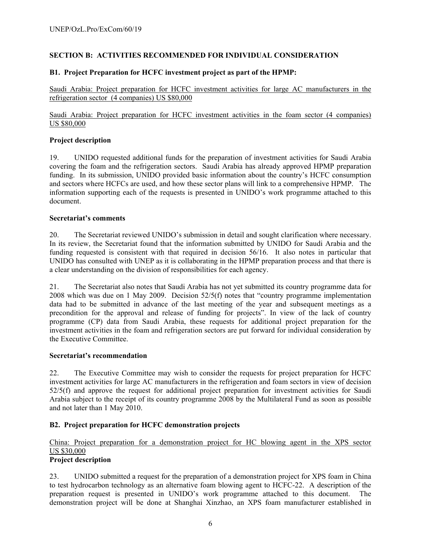# **SECTION B: ACTIVITIES RECOMMENDED FOR INDIVIDUAL CONSIDERATION**

# **B1. Project Preparation for HCFC investment project as part of the HPMP:**

Saudi Arabia: Project preparation for HCFC investment activities for large AC manufacturers in the refrigeration sector (4 companies) US \$80,000

Saudi Arabia: Project preparation for HCFC investment activities in the foam sector (4 companies) US \$80,000

# **Project description**

19. UNIDO requested additional funds for the preparation of investment activities for Saudi Arabia covering the foam and the refrigeration sectors. Saudi Arabia has already approved HPMP preparation funding. In its submission, UNIDO provided basic information about the country's HCFC consumption and sectors where HCFCs are used, and how these sector plans will link to a comprehensive HPMP. The information supporting each of the requests is presented in UNIDO's work programme attached to this document.

# **Secretariat's comments**

20. The Secretariat reviewed UNIDO's submission in detail and sought clarification where necessary. In its review, the Secretariat found that the information submitted by UNIDO for Saudi Arabia and the funding requested is consistent with that required in decision 56/16. It also notes in particular that UNIDO has consulted with UNEP as it is collaborating in the HPMP preparation process and that there is a clear understanding on the division of responsibilities for each agency.

21. The Secretariat also notes that Saudi Arabia has not yet submitted its country programme data for 2008 which was due on 1 May 2009. Decision 52/5(f) notes that "country programme implementation data had to be submitted in advance of the last meeting of the year and subsequent meetings as a precondition for the approval and release of funding for projects". In view of the lack of country programme (CP) data from Saudi Arabia, these requests for additional project preparation for the investment activities in the foam and refrigeration sectors are put forward for individual consideration by the Executive Committee.

# **Secretariat's recommendation**

22. The Executive Committee may wish to consider the requests for project preparation for HCFC investment activities for large AC manufacturers in the refrigeration and foam sectors in view of decision 52/5(f) and approve the request for additional project preparation for investment activities for Saudi Arabia subject to the receipt of its country programme 2008 by the Multilateral Fund as soon as possible and not later than 1 May 2010.

# **B2. Project preparation for HCFC demonstration projects**

# China: Project preparation for a demonstration project for HC blowing agent in the XPS sector US \$30,000

# **Project description**

23. UNIDO submitted a request for the preparation of a demonstration project for XPS foam in China to test hydrocarbon technology as an alternative foam blowing agent to HCFC-22. A description of the preparation request is presented in UNIDO's work programme attached to this document. The demonstration project will be done at Shanghai Xinzhao, an XPS foam manufacturer established in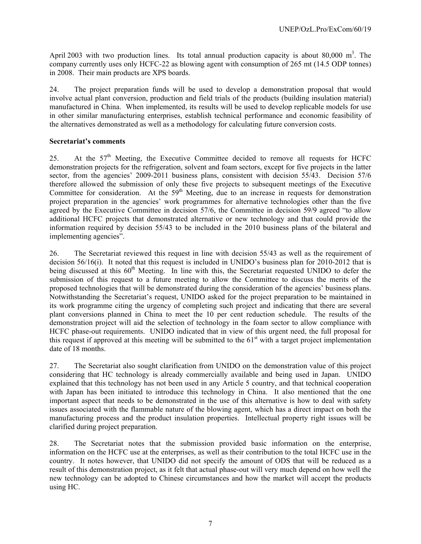April 2003 with two production lines. Its total annual production capacity is about 80,000  $m<sup>3</sup>$ . The company currently uses only HCFC-22 as blowing agent with consumption of 265 mt (14.5 ODP tonnes) in 2008. Their main products are XPS boards.

24. The project preparation funds will be used to develop a demonstration proposal that would involve actual plant conversion, production and field trials of the products (building insulation material) manufactured in China. When implemented, its results will be used to develop replicable models for use in other similar manufacturing enterprises, establish technical performance and economic feasibility of the alternatives demonstrated as well as a methodology for calculating future conversion costs.

# **Secretariat's comments**

25. At the 57<sup>th</sup> Meeting, the Executive Committee decided to remove all requests for HCFC demonstration projects for the refrigeration, solvent and foam sectors, except for five projects in the latter sector, from the agencies' 2009-2011 business plans, consistent with decision 55/43. Decision 57/6 therefore allowed the submission of only these five projects to subsequent meetings of the Executive Committee for consideration. At the  $59<sup>th</sup>$  Meeting, due to an increase in requests for demonstration project preparation in the agencies' work programmes for alternative technologies other than the five agreed by the Executive Committee in decision 57/6, the Committee in decision 59/9 agreed "to allow additional HCFC projects that demonstrated alternative or new technology and that could provide the information required by decision 55/43 to be included in the 2010 business plans of the bilateral and implementing agencies".

26. The Secretariat reviewed this request in line with decision 55/43 as well as the requirement of decision 56/16(i). It noted that this request is included in UNIDO's business plan for 2010-2012 that is being discussed at this 60<sup>th</sup> Meeting. In line with this, the Secretariat requested UNIDO to defer the submission of this request to a future meeting to allow the Committee to discuss the merits of the proposed technologies that will be demonstrated during the consideration of the agencies' business plans. Notwithstanding the Secretariat's request, UNIDO asked for the project preparation to be maintained in its work programme citing the urgency of completing such project and indicating that there are several plant conversions planned in China to meet the 10 per cent reduction schedule. The results of the demonstration project will aid the selection of technology in the foam sector to allow compliance with HCFC phase-out requirements. UNIDO indicated that in view of this urgent need, the full proposal for this request if approved at this meeting will be submitted to the  $61<sup>st</sup>$  with a target project implementation date of 18 months.

27. The Secretariat also sought clarification from UNIDO on the demonstration value of this project considering that HC technology is already commercially available and being used in Japan. UNIDO explained that this technology has not been used in any Article 5 country, and that technical cooperation with Japan has been initiated to introduce this technology in China. It also mentioned that the one important aspect that needs to be demonstrated in the use of this alternative is how to deal with safety issues associated with the flammable nature of the blowing agent, which has a direct impact on both the manufacturing process and the product insulation properties. Intellectual property right issues will be clarified during project preparation.

28. The Secretariat notes that the submission provided basic information on the enterprise, information on the HCFC use at the enterprises, as well as their contribution to the total HCFC use in the country. It notes however, that UNIDO did not specify the amount of ODS that will be reduced as a result of this demonstration project, as it felt that actual phase-out will very much depend on how well the new technology can be adopted to Chinese circumstances and how the market will accept the products using HC.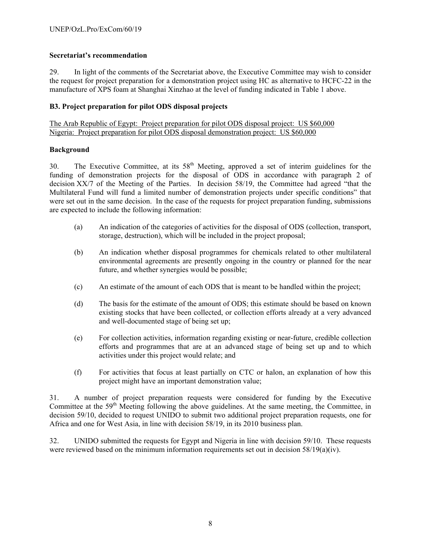# **Secretariat's recommendation**

29. In light of the comments of the Secretariat above, the Executive Committee may wish to consider the request for project preparation for a demonstration project using HC as alternative to HCFC-22 in the manufacture of XPS foam at Shanghai Xinzhao at the level of funding indicated in Table 1 above.

# **B3. Project preparation for pilot ODS disposal projects**

The Arab Republic of Egypt: Project preparation for pilot ODS disposal project: US \$60,000 Nigeria: Project preparation for pilot ODS disposal demonstration project: US \$60,000

# **Background**

30. The Executive Committee, at its  $58<sup>th</sup>$  Meeting, approved a set of interim guidelines for the funding of demonstration projects for the disposal of ODS in accordance with paragraph 2 of decision XX/7 of the Meeting of the Parties. In decision 58/19, the Committee had agreed "that the Multilateral Fund will fund a limited number of demonstration projects under specific conditions" that were set out in the same decision. In the case of the requests for project preparation funding, submissions are expected to include the following information:

- (a) An indication of the categories of activities for the disposal of ODS (collection, transport, storage, destruction), which will be included in the project proposal;
- (b) An indication whether disposal programmes for chemicals related to other multilateral environmental agreements are presently ongoing in the country or planned for the near future, and whether synergies would be possible;
- (c) An estimate of the amount of each ODS that is meant to be handled within the project;
- (d) The basis for the estimate of the amount of ODS; this estimate should be based on known existing stocks that have been collected, or collection efforts already at a very advanced and well-documented stage of being set up;
- (e) For collection activities, information regarding existing or near-future, credible collection efforts and programmes that are at an advanced stage of being set up and to which activities under this project would relate; and
- (f) For activities that focus at least partially on CTC or halon, an explanation of how this project might have an important demonstration value;

31. A number of project preparation requests were considered for funding by the Executive Committee at the 59<sup>th</sup> Meeting following the above guidelines. At the same meeting, the Committee, in decision 59/10, decided to request UNIDO to submit two additional project preparation requests, one for Africa and one for West Asia, in line with decision 58/19, in its 2010 business plan.

32. UNIDO submitted the requests for Egypt and Nigeria in line with decision 59/10. These requests were reviewed based on the minimum information requirements set out in decision  $58/19(a)(iv)$ .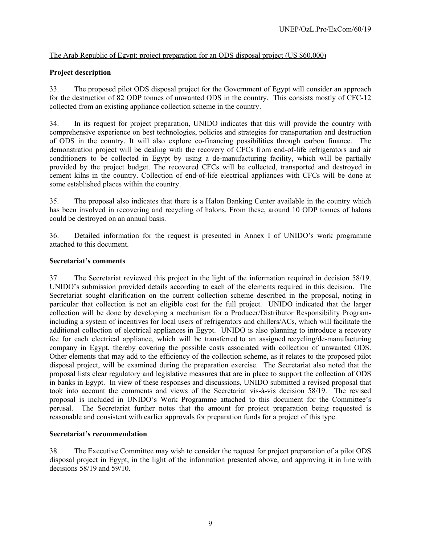# The Arab Republic of Egypt: project preparation for an ODS disposal project (US \$60,000)

# **Project description**

33. The proposed pilot ODS disposal project for the Government of Egypt will consider an approach for the destruction of 82 ODP tonnes of unwanted ODS in the country. This consists mostly of CFC-12 collected from an existing appliance collection scheme in the country.

34. In its request for project preparation, UNIDO indicates that this will provide the country with comprehensive experience on best technologies, policies and strategies for transportation and destruction of ODS in the country. It will also explore co-financing possibilities through carbon finance. The demonstration project will be dealing with the recovery of CFCs from end-of-life refrigerators and air conditioners to be collected in Egypt by using a de-manufacturing facility, which will be partially provided by the project budget. The recovered CFCs will be collected, transported and destroyed in cement kilns in the country. Collection of end-of-life electrical appliances with CFCs will be done at some established places within the country.

35. The proposal also indicates that there is a Halon Banking Center available in the country which has been involved in recovering and recycling of halons. From these, around 10 ODP tonnes of halons could be destroyed on an annual basis.

36. Detailed information for the request is presented in Annex I of UNIDO's work programme attached to this document.

# **Secretariat's comments**

37. The Secretariat reviewed this project in the light of the information required in decision 58/19. UNIDO's submission provided details according to each of the elements required in this decision. The Secretariat sought clarification on the current collection scheme described in the proposal, noting in particular that collection is not an eligible cost for the full project. UNIDO indicated that the larger collection will be done by developing a mechanism for a Producer/Distributor Responsibility Programincluding a system of incentives for local users of refrigerators and chillers/ACs, which will facilitate the additional collection of electrical appliances in Egypt. UNIDO is also planning to introduce a recovery fee for each electrical appliance, which will be transferred to an assigned recycling/de-manufacturing company in Egypt, thereby covering the possible costs associated with collection of unwanted ODS. Other elements that may add to the efficiency of the collection scheme, as it relates to the proposed pilot disposal project, will be examined during the preparation exercise. The Secretariat also noted that the proposal lists clear regulatory and legislative measures that are in place to support the collection of ODS in banks in Egypt. In view of these responses and discussions, UNIDO submitted a revised proposal that took into account the comments and views of the Secretariat vis-à-vis decision 58/19. The revised proposal is included in UNIDO's Work Programme attached to this document for the Committee's perusal. The Secretariat further notes that the amount for project preparation being requested is reasonable and consistent with earlier approvals for preparation funds for a project of this type.

# **Secretariat's recommendation**

38. The Executive Committee may wish to consider the request for project preparation of a pilot ODS disposal project in Egypt, in the light of the information presented above, and approving it in line with decisions 58/19 and 59/10.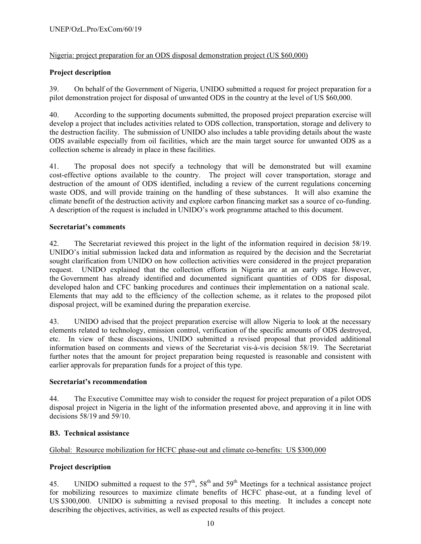# Nigeria: project preparation for an ODS disposal demonstration project (US \$60,000)

# **Project description**

39. On behalf of the Government of Nigeria, UNIDO submitted a request for project preparation for a pilot demonstration project for disposal of unwanted ODS in the country at the level of US \$60,000.

40. According to the supporting documents submitted, the proposed project preparation exercise will develop a project that includes activities related to ODS collection, transportation, storage and delivery to the destruction facility. The submission of UNIDO also includes a table providing details about the waste ODS available especially from oil facilities, which are the main target source for unwanted ODS as a collection scheme is already in place in these facilities.

41. The proposal does not specify a technology that will be demonstrated but will examine cost-effective options available to the country. The project will cover transportation, storage and destruction of the amount of ODS identified, including a review of the current regulations concerning waste ODS, and will provide training on the handling of these substances. It will also examine the climate benefit of the destruction activity and explore carbon financing market sas a source of co-funding. A description of the request is included in UNIDO's work programme attached to this document.

# **Secretariat's comments**

42. The Secretariat reviewed this project in the light of the information required in decision 58/19. UNIDO's initial submission lacked data and information as required by the decision and the Secretariat sought clarification from UNIDO on how collection activities were considered in the project preparation request. UNIDO explained that the collection efforts in Nigeria are at an early stage. However, the Government has already identified and documented significant quantities of ODS for disposal, developed halon and CFC banking procedures and continues their implementation on a national scale. Elements that may add to the efficiency of the collection scheme, as it relates to the proposed pilot disposal project, will be examined during the preparation exercise.

43. UNIDO advised that the project preparation exercise will allow Nigeria to look at the necessary elements related to technology, emission control, verification of the specific amounts of ODS destroyed, etc. In view of these discussions, UNIDO submitted a revised proposal that provided additional information based on comments and views of the Secretariat vis-à-vis decision 58/19. The Secretariat further notes that the amount for project preparation being requested is reasonable and consistent with earlier approvals for preparation funds for a project of this type.

# **Secretariat's recommendation**

44. The Executive Committee may wish to consider the request for project preparation of a pilot ODS disposal project in Nigeria in the light of the information presented above, and approving it in line with decisions 58/19 and 59/10.

# **B3. Technical assistance**

# Global: Resource mobilization for HCFC phase-out and climate co-benefits: US \$300,000

# **Project description**

45. UNIDO submitted a request to the  $57<sup>th</sup>$ ,  $58<sup>th</sup>$  and  $59<sup>th</sup>$  Meetings for a technical assistance project for mobilizing resources to maximize climate benefits of HCFC phase-out, at a funding level of US \$300,000. UNIDO is submitting a revised proposal to this meeting. It includes a concept note describing the objectives, activities, as well as expected results of this project.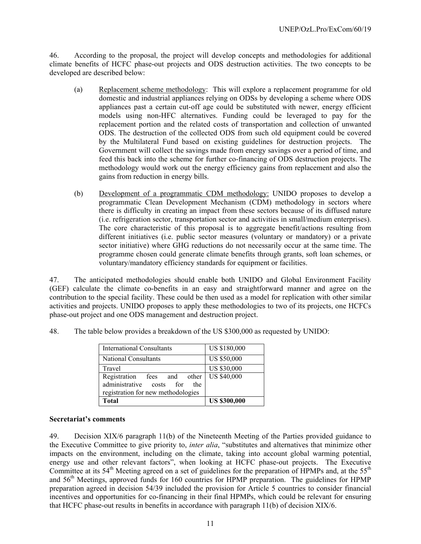46. According to the proposal, the project will develop concepts and methodologies for additional climate benefits of HCFC phase-out projects and ODS destruction activities. The two concepts to be developed are described below:

- (a) Replacement scheme methodology: This will explore a replacement programme for old domestic and industrial appliances relying on ODSs by developing a scheme where ODS appliances past a certain cut-off age could be substituted with newer, energy efficient models using non-HFC alternatives. Funding could be leveraged to pay for the replacement portion and the related costs of transportation and collection of unwanted ODS. The destruction of the collected ODS from such old equipment could be covered by the Multilateral Fund based on existing guidelines for destruction projects. The Government will collect the savings made from energy savings over a period of time, and feed this back into the scheme for further co-financing of ODS destruction projects. The methodology would work out the energy efficiency gains from replacement and also the gains from reduction in energy bills.
- (b) Development of a programmatic CDM methodology: UNIDO proposes to develop a programmatic Clean Development Mechanism (CDM) methodology in sectors where there is difficulty in creating an impact from these sectors because of its diffused nature (i.e. refrigeration sector, transportation sector and activities in small/medium enterprises). The core characteristic of this proposal is to aggregate benefit/actions resulting from different initiatives (i.e. public sector measures (voluntary or mandatory) or a private sector initiative) where GHG reductions do not necessarily occur at the same time. The programme chosen could generate climate benefits through grants, soft loan schemes, or voluntary/mandatory efficiency standards for equipment or facilities.

47. The anticipated methodologies should enable both UNIDO and Global Environment Facility (GEF) calculate the climate co-benefits in an easy and straightforward manner and agree on the contribution to the special facility. These could be then used as a model for replication with other similar activities and projects. UNIDO proposes to apply these methodologies to two of its projects, one HCFCs phase-out project and one ODS management and destruction project.

| <b>International Consultants</b>                                                                        | <b>US \$180,000</b> |
|---------------------------------------------------------------------------------------------------------|---------------------|
| <b>National Consultants</b>                                                                             | <b>US \$50,000</b>  |
| Travel                                                                                                  | <b>US \$30,000</b>  |
| Registration fees and<br>other<br>administrative costs for<br>the<br>registration for new methodologies | <b>US \$40,000</b>  |
| Total                                                                                                   | <b>US \$300,000</b> |

48. The table below provides a breakdown of the US \$300,000 as requested by UNIDO:

# **Secretariat's comments**

49. Decision XIX/6 paragraph 11(b) of the Nineteenth Meeting of the Parties provided guidance to the Executive Committee to give priority to, *inter alia*, "substitutes and alternatives that minimize other impacts on the environment, including on the climate, taking into account global warming potential, energy use and other relevant factors", when looking at HCFC phase-out projects. The Executive Committee at its  $54<sup>th</sup>$  Meeting agreed on a set of guidelines for the preparation of HPMPs and, at the  $55<sup>th</sup>$ and 56<sup>th</sup> Meetings, approved funds for 160 countries for HPMP preparation. The guidelines for HPMP preparation agreed in decision 54/39 included the provision for Article 5 countries to consider financial incentives and opportunities for co-financing in their final HPMPs, which could be relevant for ensuring that HCFC phase-out results in benefits in accordance with paragraph 11(b) of decision XIX/6.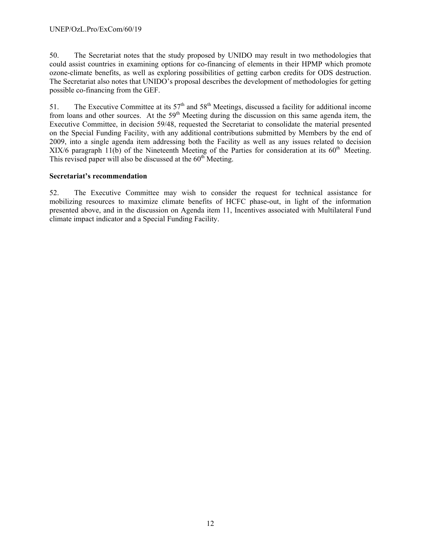50. The Secretariat notes that the study proposed by UNIDO may result in two methodologies that could assist countries in examining options for co-financing of elements in their HPMP which promote ozone-climate benefits, as well as exploring possibilities of getting carbon credits for ODS destruction. The Secretariat also notes that UNIDO's proposal describes the development of methodologies for getting possible co-financing from the GEF.

51. The Executive Committee at its  $57<sup>th</sup>$  and  $58<sup>th</sup>$  Meetings, discussed a facility for additional income from loans and other sources. At the  $59<sup>th</sup>$  Meeting during the discussion on this same agenda item, the Executive Committee, in decision 59/48, requested the Secretariat to consolidate the material presented on the Special Funding Facility, with any additional contributions submitted by Members by the end of 2009, into a single agenda item addressing both the Facility as well as any issues related to decision XIX/6 paragraph 11(b) of the Nineteenth Meeting of the Parties for consideration at its  $60<sup>th</sup>$  Meeting. This revised paper will also be discussed at the  $60<sup>th</sup>$  Meeting.

# **Secretariat's recommendation**

52. The Executive Committee may wish to consider the request for technical assistance for mobilizing resources to maximize climate benefits of HCFC phase-out, in light of the information presented above, and in the discussion on Agenda item 11, Incentives associated with Multilateral Fund climate impact indicator and a Special Funding Facility.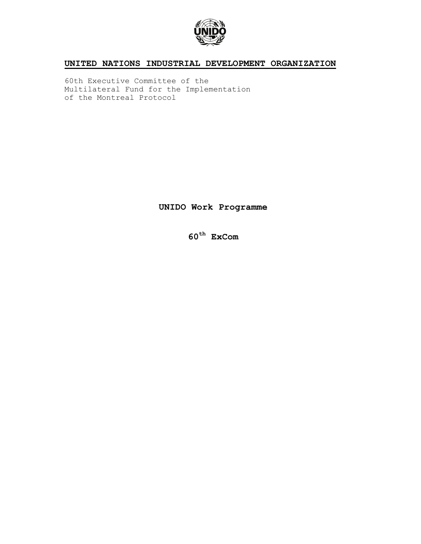

# **UNITED NATIONS INDUSTRIAL DEVELOPMENT ORGANIZATION**

60th Executive Committee of the Multilateral Fund for the Implementation of the Montreal Protocol

**UNIDO Work Programme** 

**60th ExCom**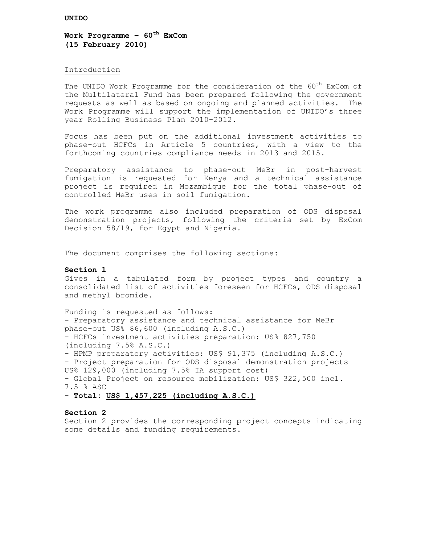**Work Programme – 60th ExCom (15 February 2010)** 

#### Introduction

The UNIDO Work Programme for the consideration of the 60<sup>th</sup> ExCom of the Multilateral Fund has been prepared following the government requests as well as based on ongoing and planned activities. The Work Programme will support the implementation of UNIDO's three year Rolling Business Plan 2010-2012.

Focus has been put on the additional investment activities to phase-out HCFCs in Article 5 countries, with a view to the forthcoming countries compliance needs in 2013 and 2015.

Preparatory assistance to phase-out MeBr in post-harvest fumigation is requested for Kenya and a technical assistance project is required in Mozambique for the total phase-out of controlled MeBr uses in soil fumigation.

The work programme also included preparation of ODS disposal demonstration projects, following the criteria set by ExCom Decision 58/19, for Egypt and Nigeria.

The document comprises the following sections:

#### **Section 1**

Gives in a tabulated form by project types and country a consolidated list of activities foreseen for HCFCs, ODS disposal and methyl bromide.

Funding is requested as follows: - Preparatory assistance and technical assistance for MeBr phase-out US% 86,600 (including A.S.C.) - HCFCs investment activities preparation: US% 827,750 (including 7.5% A.S.C.) - HPMP preparatory activities: US\$ 91,375 (including A.S.C.) - Project preparation for ODS disposal demonstration projects US% 129,000 (including 7.5% IA support cost) - Global Project on resource mobilization: US\$ 322,500 incl. 7.5 % ASC - **Total: US\$ 1,457,225 (including A.S.C.)**

#### **Section 2**

Section 2 provides the corresponding project concepts indicating some details and funding requirements.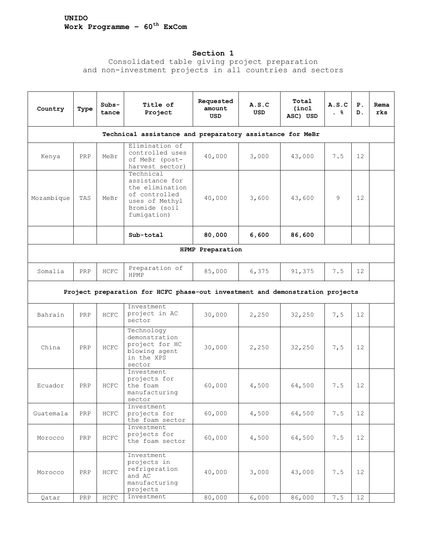# **Section 1**

Consolidated table giving project preparation and non-investment projects in all countries and sectors

| Country    | Type                                                     | $Subs-$<br>tance | Title of<br>Project                                                                                               | Requested<br>amount<br>USD | A.S.C<br>USD | Total<br>(incl<br>ASC) USD | A.S.C<br>. 응 | $P$ .<br>D.     | Rema<br>rks |
|------------|----------------------------------------------------------|------------------|-------------------------------------------------------------------------------------------------------------------|----------------------------|--------------|----------------------------|--------------|-----------------|-------------|
|            | Technical assistance and preparatory assistance for MeBr |                  |                                                                                                                   |                            |              |                            |              |                 |             |
| Kenya      | PRP                                                      | MeBr             | Elimination of<br>controlled uses<br>of MeBr (post-<br>harvest sector)                                            | 40,000                     | 3,000        | 43,000                     | 7.5          | 12              |             |
| Mozambique | TAS                                                      | MeBr             | Technical<br>assistance for<br>the elimination<br>of controlled<br>uses of Methyl<br>Bromide (soil<br>fumigation) | 40,000                     | 3,600        | 43,600                     | 9            | 12              |             |
|            |                                                          |                  | Sub-total                                                                                                         | 80,000                     | 6,600        | 86,600                     |              |                 |             |
|            |                                                          |                  |                                                                                                                   | HPMP Preparation           |              |                            |              |                 |             |
| Somalia    | PRP                                                      | HCFC             | Preparation of<br><b>HPMP</b>                                                                                     | 85,000                     | 6,375        | 91,375                     | 7.5          | 12 <sup>°</sup> |             |
|            |                                                          |                  | Project preparation for HCFC phase-out investment and demonstration projects                                      |                            |              |                            |              |                 |             |
| Bahrain    | PRP                                                      | HCFC             | Investment<br>project in AC<br>sector                                                                             | 30,000                     | 2,250        | 32,250                     | 7,5          | 12              |             |
| China      | PRP                                                      | HCFC             | Technology<br>demonstration<br>project for HC<br>blowing agent<br>in the XPS<br>sector                            | 30,000                     | 2,250        | 32,250                     | 7,5          | 12              |             |
| Ecuador    | PRP                                                      | HCFC             | Investment<br>projects for<br>the foam<br>manufacturing<br>sector                                                 | 60,000                     | 4,500        | 64,500                     | 7.5          | 12              |             |
| Guatemala  | PRP                                                      | HCFC             | Investment<br>projects for<br>the foam sector                                                                     | 60,000                     | 4,500        | 64,500                     | 7.5          | 12 <sup>°</sup> |             |
| Morocco    | $\ensuremath{\mathsf{PRP}}$                              | HCFC             | Investment<br>projects for<br>the foam sector                                                                     | 60,000                     | 4,500        | 64,500                     | 7.5          | 12              |             |
| Morocco    | PRP                                                      | ${\tt HCFC}$     | Investment<br>projects in<br>refrigeration<br>and AC<br>manufacturing<br>projects                                 | 40,000                     | 3,000        | 43,000                     | 7.5          | 12              |             |
| Qatar      | ${\tt PRP}$                                              | ${\tt HCFC}$     | Investment                                                                                                        | 80,000                     | 6,000        | 86,000                     | 7.5          | 12              |             |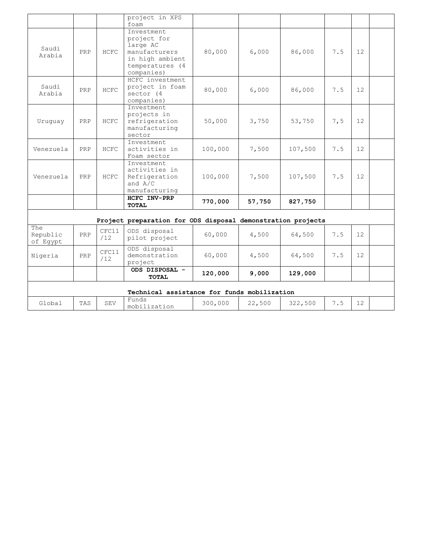|                             |     |              | project in XPS<br>foam                                                                                     |         |        |         |     |                   |  |
|-----------------------------|-----|--------------|------------------------------------------------------------------------------------------------------------|---------|--------|---------|-----|-------------------|--|
| Saudi<br>Arabia             | PRP | HCFC         | Investment<br>project for<br>large AC<br>manufacturers<br>in high ambient<br>temperatures (4<br>companies) | 80,000  | 6,000  | 86,000  | 7.5 | 12                |  |
| Saudi<br>Arabia             | PRP | HCFC         | HCFC investment<br>project in foam<br>sector (4<br>companies)                                              | 80,000  | 6,000  | 86,000  | 7.5 | 12                |  |
| Uruguay                     | PRP | HCFC         | Investment<br>projects in<br>refrigeration<br>manufacturing<br>sector                                      | 50,000  | 3,750  | 53,750  | 7,5 | 12                |  |
| Venezuela                   | PRP | HCFC         | Investment<br>activities in<br>Foam sector                                                                 | 100,000 | 7,500  | 107,500 | 7.5 | 12                |  |
| Venezuela                   | PRP | HCFC         | Investment<br>activities in<br>Refrigeration<br>and $A/C$<br>manufacturing                                 | 100,000 | 7,500  | 107,500 | 7.5 | 12                |  |
|                             |     |              | HCFC INV-PRP<br><b>TOTAL</b>                                                                               | 770,000 | 57,750 | 827,750 |     |                   |  |
|                             |     |              | Project preparation for ODS disposal demonstration projects                                                |         |        |         |     |                   |  |
| The<br>Republic<br>of Egypt | PRP | CFC11<br>/12 | ODS disposal<br>pilot project                                                                              | 60,000  | 4,500  | 64,500  | 7.5 | 12                |  |
| Nigeria                     | PRP | CFC11<br>/12 | ODS disposal<br>demonstration<br>project                                                                   | 60,000  | 4,500  | 64,500  | 7.5 | $12 \overline{ }$ |  |
|                             |     |              | ODS DISPOSAL -<br><b>TOTAL</b>                                                                             | 120,000 | 9,000  | 129,000 |     |                   |  |
|                             |     |              | Technical assistance for funds mobilization                                                                |         |        |         |     |                   |  |
| Global                      | TAS | <b>SEV</b>   | Funds<br>mobilization                                                                                      | 300,000 | 22,500 | 322,500 | 7.5 | $12 \overline{ }$ |  |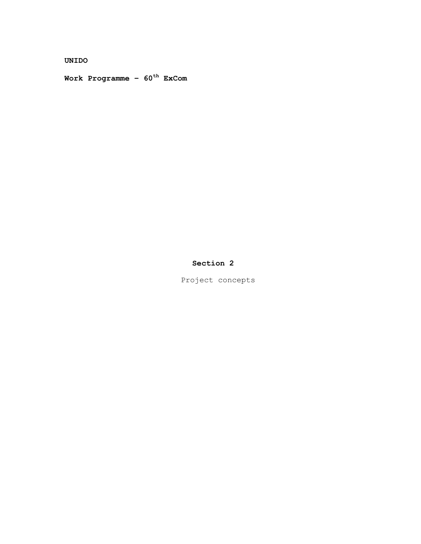**UNIDO** 

**Work Programme – 60th ExCom** 

# **Section 2**

Project concepts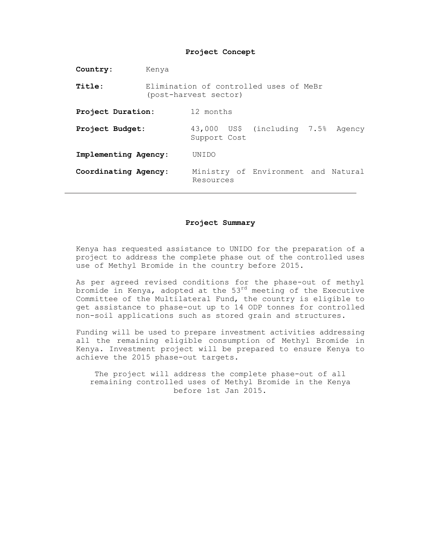| Country:             | Kenya                                                           |              |  |                                     |  |  |
|----------------------|-----------------------------------------------------------------|--------------|--|-------------------------------------|--|--|
| Title:               | Elimination of controlled uses of MeBr<br>(post-harvest sector) |              |  |                                     |  |  |
| Project Duration:    |                                                                 | 12 months    |  |                                     |  |  |
| Project Budget:      |                                                                 | Support Cost |  | 43,000 US\$ (including 7.5% Agency  |  |  |
| Implementing Agency: |                                                                 | UNTDO        |  |                                     |  |  |
| Coordinating Agency: |                                                                 | Resources    |  | Ministry of Environment and Natural |  |  |

#### **Project Summary**

Kenya has requested assistance to UNIDO for the preparation of a project to address the complete phase out of the controlled uses use of Methyl Bromide in the country before 2015.

As per agreed revised conditions for the phase-out of methyl bromide in Kenya, adopted at the  $53^{rd}$  meeting of the Executive Committee of the Multilateral Fund, the country is eligible to get assistance to phase-out up to 14 ODP tonnes for controlled non-soil applications such as stored grain and structures.

Funding will be used to prepare investment activities addressing all the remaining eligible consumption of Methyl Bromide in Kenya. Investment project will be prepared to ensure Kenya to achieve the 2015 phase-out targets.

The project will address the complete phase-out of all remaining controlled uses of Methyl Bromide in the Kenya before 1st Jan 2015.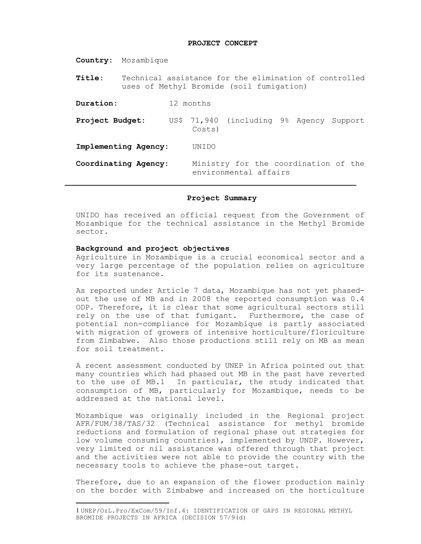#### **PROJECT CONCEPT**

|                      |                                                                                                    | <b>Country:</b> Mozambique |                                                               |                                          |  |  |  |
|----------------------|----------------------------------------------------------------------------------------------------|----------------------------|---------------------------------------------------------------|------------------------------------------|--|--|--|
| Title:               | Technical assistance for the elimination of controlled<br>uses of Methyl Bromide (soil fumigation) |                            |                                                               |                                          |  |  |  |
| Duration:            |                                                                                                    |                            | 12 months                                                     |                                          |  |  |  |
| Project Budget:      |                                                                                                    |                            | Costs)                                                        | US\$ 71,940 (including 9% Agency Support |  |  |  |
| Implementing Agency: |                                                                                                    | UNTDO                      |                                                               |                                          |  |  |  |
| Coordinating Agency: |                                                                                                    |                            | Ministry for the coordination of the<br>environmental affairs |                                          |  |  |  |

#### **Project Summary**

UNIDO has received an official request from the Government of Mozambique for the technical assistance in the Methyl Bromide sector.

#### **Background and project objectives**

 $\overline{a}$ 

Agriculture in Mozambique is a crucial economical sector and a very large percentage of the population relies on agriculture for its sustenance.

As reported under Article 7 data, Mozambique has not yet phasedout the use of MB and in 2008 the reported consumption was 0.4 ODP. Therefore, it is clear that some agricultural sectors still rely on the use of that fumigant. Furthermore, the case of potential non-compliance for Mozambique is partly associated with migration of growers of intensive horticulture/floriculture from Zimbabwe. Also those productions still rely on MB as mean for soil treatment.

A recent assessment conducted by UNEP in Africa pointed out that many countries which had phased out MB in the past have reverted to the use of MB.1 In particular, the study indicated that consumption of MB, particularly for Mozambique, needs to be addressed at the national level.

Mozambique was originally included in the Regional project AFR/FUM/38/TAS/32 (Technical assistance for methyl bromide reductions and formulation of regional phase out strategies for low volume consuming countries), implemented by UNDP. However, very limited or nil assistance was offered through that project and the activities were not able to provide the country with the necessary tools to achieve the phase-out target.

Therefore, due to an expansion of the flower production mainly on the border with Zimbabwe and increased on the horticulture

<sup>1</sup> UNEP/OzL.Pro/ExCom/59/Inf.4: IDENTIFICATION OF GAPS IN REGIONAL METHYL BROMIDE PROJECTS IN AFRICA (DECISION 57/9(d)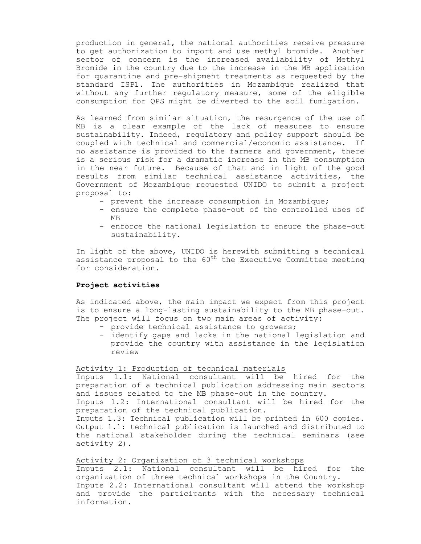production in general, the national authorities receive pressure to get authorization to import and use methyl bromide. Another sector of concern is the increased availability of Methyl Bromide in the country due to the increase in the MB application for quarantine and pre-shipment treatments as requested by the standard ISP1. The authorities in Mozambique realized that without any further regulatory measure, some of the eligible consumption for QPS might be diverted to the soil fumigation.

As learned from similar situation, the resurgence of the use of MB is a clear example of the lack of measures to ensure sustainability. Indeed, regulatory and policy support should be coupled with technical and commercial/economic assistance. If no assistance is provided to the farmers and government, there is a serious risk for a dramatic increase in the MB consumption in the near future. Because of that and in light of the good results from similar technical assistance activities, the Government of Mozambique requested UNIDO to submit a project proposal to:

- prevent the increase consumption in Mozambique;
- ensure the complete phase-out of the controlled uses of MB
- enforce the national legislation to ensure the phase-out sustainability.

In light of the above, UNIDO is herewith submitting a technical assistance proposal to the 60<sup>th</sup> the Executive Committee meeting for consideration.

#### **Project activities**

As indicated above, the main impact we expect from this project is to ensure a long-lasting sustainability to the MB phase-out. The project will focus on two main areas of activity:

- provide technical assistance to growers;
- identify gaps and lacks in the national legislation and provide the country with assistance in the legislation review

#### Activity 1: Production of technical materials

Inputs 1.1: National consultant will be hired for the preparation of a technical publication addressing main sectors and issues related to the MB phase-out in the country.

Inputs 1.2: International consultant will be hired for the preparation of the technical publication.

Inputs 1.3: Technical publication will be printed in 600 copies. Output 1.1: technical publication is launched and distributed to the national stakeholder during the technical seminars (see activity 2).

Activity 2: Organization of 3 technical workshops Inputs 2.1: National consultant will be hired for the

organization of three technical workshops in the Country. Inputs 2.2: International consultant will attend the workshop and provide the participants with the necessary technical information.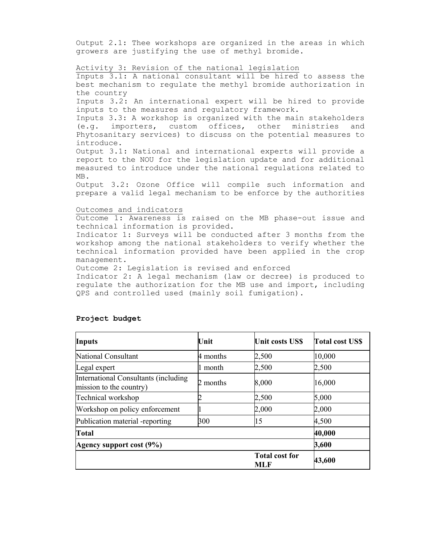Output 2.1: Thee workshops are organized in the areas in which growers are justifying the use of methyl bromide.

#### Activity 3: Revision of the national legislation

Inputs 3.1: A national consultant will be hired to assess the best mechanism to regulate the methyl bromide authorization in the country

Inputs 3.2: An international expert will be hired to provide inputs to the measures and regulatory framework.

Inputs 3.3: A workshop is organized with the main stakeholders (e.g. importers, custom offices, other ministries and Phytosanitary services) to discuss on the potential measures to introduce.

Output 3.1: National and international experts will provide a report to the NOU for the legislation update and for additional measured to introduce under the national regulations related to MB.

Output 3.2: Ozone Office will compile such information and prepare a valid legal mechanism to be enforce by the authorities

### Outcomes and indicators

Outcome 1: Awareness is raised on the MB phase-out issue and technical information is provided.

Indicator 1: Surveys will be conducted after 3 months from the workshop among the national stakeholders to verify whether the technical information provided have been applied in the crop management.

Outcome 2: Legislation is revised and enforced

Indicator 2: A legal mechanism (law or decree) is produced to regulate the authorization for the MB use and import, including QPS and controlled used (mainly soil fumigation).

| <b>Inputs</b>                                                    | Unit     | <b>Unit costs US\$</b>              | <b>Total cost USS</b> |
|------------------------------------------------------------------|----------|-------------------------------------|-----------------------|
| National Consultant                                              | 4 months | 2,500                               | 10,000                |
| Legal expert                                                     | 1 month  | 2,500                               | 2,500                 |
| International Consultants (including)<br>mission to the country) | 2 months | 8,000                               | 16,000                |
| Technical workshop                                               |          | 2,500                               | 5,000                 |
| Workshop on policy enforcement                                   |          | 2,000                               | 2,000                 |
| Publication material -reporting                                  | 300      | 15                                  | 4,500                 |
| <b>Total</b>                                                     |          | 40,000                              |                       |
| Agency support cost (9%)                                         |          |                                     | 3,600                 |
|                                                                  |          | <b>Total cost for</b><br><b>MLF</b> | 43,600                |

#### **Project budget**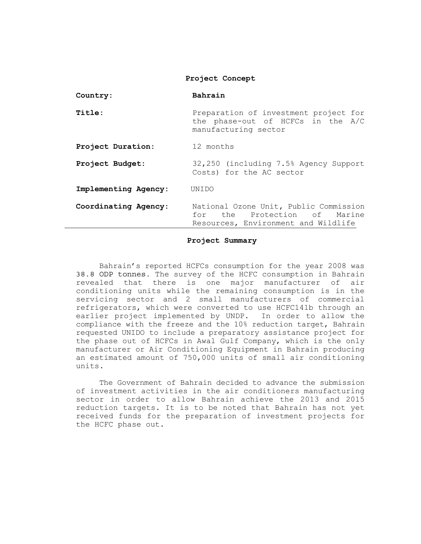| Country:             | Bahrain                                                                                                       |
|----------------------|---------------------------------------------------------------------------------------------------------------|
| Title:               | Preparation of investment project for<br>the phase-out of HCFCs in the A/C<br>manufacturing sector            |
| Project Duration:    | 12 months                                                                                                     |
| Project Budget:      | 32,250 (including 7.5% Agency Support<br>Costs) for the AC sector                                             |
| Implementing Agency: | UNIDO                                                                                                         |
| Coordinating Agency: | National Ozone Unit, Public Commission<br>for the Protection of Marine<br>Resources, Environment and Wildlife |

#### **Project Summary**

 Bahrain's reported HCFCs consumption for the year 2008 was 38.8 ODP tonnes. The survey of the HCFC consumption in Bahrain revealed that there is one major manufacturer of air conditioning units while the remaining consumption is in the servicing sector and 2 small manufacturers of commercial refrigerators, which were converted to use HCFC141b through an earlier project implemented by UNDP. In order to allow the compliance with the freeze and the 10% reduction target, Bahrain requested UNIDO to include a preparatory assistance project for the phase out of HCFCs in Awal Gulf Company, which is the only manufacturer or Air Conditioning Equipment in Bahrain producing an estimated amount of 750,000 units of small air conditioning units.

 The Government of Bahrain decided to advance the submission of investment activities in the air conditioners manufacturing sector in order to allow Bahrain achieve the 2013 and 2015 reduction targets. It is to be noted that Bahrain has not yet received funds for the preparation of investment projects for the HCFC phase out.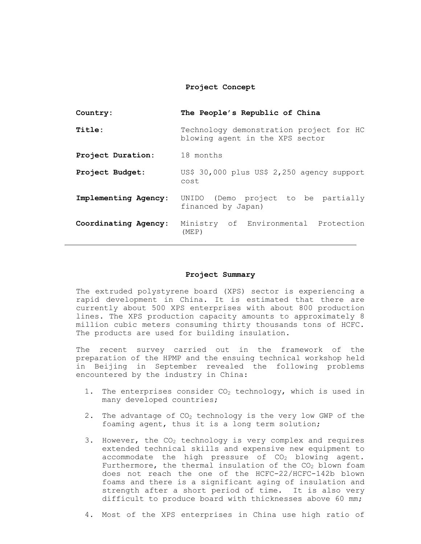| Country:             | The People's Republic of China                                             |
|----------------------|----------------------------------------------------------------------------|
| Title:               | Technology demonstration project for HC<br>blowing agent in the XPS sector |
| Project Duration:    | 18 months                                                                  |
| Project Budget:      | US\$ 30,000 plus US\$ 2,250 agency support<br>cost                         |
| Implementing Agency: | UNIDO (Demo project to be partially<br>financed by Japan)                  |
| Coordinating Agency: | Ministry of Environmental Protection<br>(MEP)                              |

#### **Project Summary**

The extruded polystyrene board (XPS) sector is experiencing a rapid development in China. It is estimated that there are currently about 500 XPS enterprises with about 800 production lines. The XPS production capacity amounts to approximately 8 million cubic meters consuming thirty thousands tons of HCFC. The products are used for building insulation.

The recent survey carried out in the framework of the preparation of the HPMP and the ensuing technical workshop held in Beijing in September revealed the following problems encountered by the industry in China:

- 1. The enterprises consider  $CO<sub>2</sub>$  technology, which is used in many developed countries;
- 2. The advantage of  $CO<sub>2</sub>$  technology is the very low GWP of the foaming agent, thus it is a long term solution;
- 3. However, the  $CO<sub>2</sub>$  technology is very complex and requires extended technical skills and expensive new equipment to accommodate the high pressure of  $CO<sub>2</sub>$  blowing agent. Furthermore, the thermal insulation of the  $CO<sub>2</sub>$  blown foam does not reach the one of the HCFC-22/HCFC-142b blown foams and there is a significant aging of insulation and strength after a short period of time. It is also very difficult to produce board with thicknesses above 60 mm;
- 4. Most of the XPS enterprises in China use high ratio of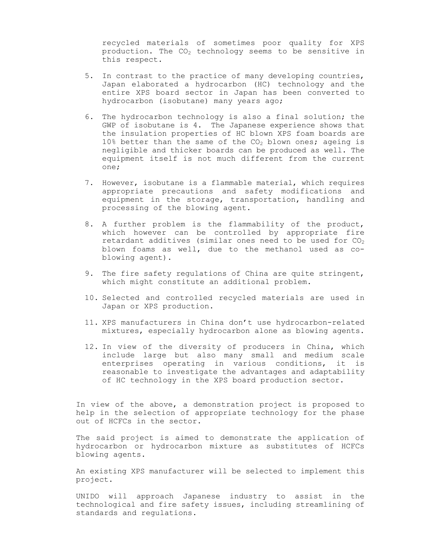recycled materials of sometimes poor quality for XPS production. The  $CO<sub>2</sub>$  technology seems to be sensitive in this respect.

- 5. In contrast to the practice of many developing countries, Japan elaborated a hydrocarbon (HC) technology and the entire XPS board sector in Japan has been converted to hydrocarbon (isobutane) many years ago;
- 6. The hydrocarbon technology is also a final solution; the GWP of isobutane is 4. The Japanese experience shows that the insulation properties of HC blown XPS foam boards are  $10\%$  better than the same of the  $CO<sub>2</sub>$  blown ones; ageing is negligible and thicker boards can be produced as well. The equipment itself is not much different from the current one;
- 7. However, isobutane is a flammable material, which requires appropriate precautions and safety modifications and equipment in the storage, transportation, handling and processing of the blowing agent.
- 8. A further problem is the flammability of the product, which however can be controlled by appropriate fire retardant additives (similar ones need to be used for  $CO<sub>2</sub>$ blown foams as well, due to the methanol used as coblowing agent).
- 9. The fire safety regulations of China are quite stringent, which might constitute an additional problem.
- 10. Selected and controlled recycled materials are used in Japan or XPS production.
- 11. XPS manufacturers in China don't use hydrocarbon-related mixtures, especially hydrocarbon alone as blowing agents.
- 12. In view of the diversity of producers in China, which include large but also many small and medium scale enterprises operating in various conditions, it is reasonable to investigate the advantages and adaptability of HC technology in the XPS board production sector.

In view of the above, a demonstration project is proposed to help in the selection of appropriate technology for the phase out of HCFCs in the sector.

The said project is aimed to demonstrate the application of hydrocarbon or hydrocarbon mixture as substitutes of HCFCs blowing agents.

An existing XPS manufacturer will be selected to implement this project.

UNIDO will approach Japanese industry to assist in the technological and fire safety issues, including streamlining of standards and regulations.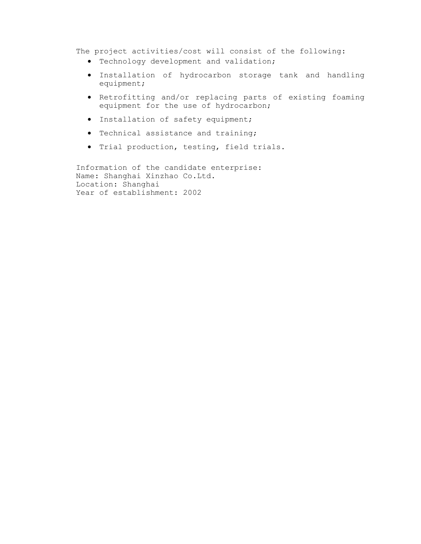The project activities/cost will consist of the following:

- Technology development and validation;
- Installation of hydrocarbon storage tank and handling equipment;
- Retrofitting and/or replacing parts of existing foaming equipment for the use of hydrocarbon;
- Installation of safety equipment;
- Technical assistance and training;
- Trial production, testing, field trials.

Information of the candidate enterprise: Name: Shanghai Xinzhao Co.Ltd. Location: Shanghai Year of establishment: 2002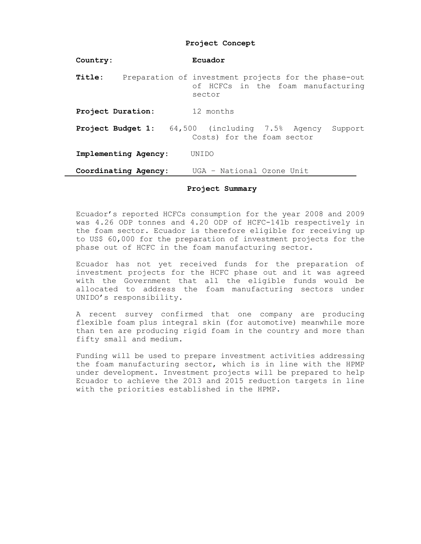| Country:          |                      | Ecuador                                                                                              |
|-------------------|----------------------|------------------------------------------------------------------------------------------------------|
| Title:            |                      | Preparation of investment projects for the phase-out<br>of HCFCs in the foam manufacturing<br>sector |
| Project Duration: |                      | 12 months                                                                                            |
| Project Budget 1: |                      | 64,500 (including 7.5% Agency<br>Support<br>Costs) for the foam sector                               |
|                   | Implementing Agency: | UNT DO                                                                                               |
|                   | Coordinating Agency: | UGA - National Ozone Unit                                                                            |

#### **Project Summary**

Ecuador's reported HCFCs consumption for the year 2008 and 2009 was 4.26 ODP tonnes and 4.20 ODP of HCFC-141b respectively in the foam sector. Ecuador is therefore eligible for receiving up to US\$ 60,000 for the preparation of investment projects for the phase out of HCFC in the foam manufacturing sector.

Ecuador has not yet received funds for the preparation of investment projects for the HCFC phase out and it was agreed with the Government that all the eligible funds would be allocated to address the foam manufacturing sectors under UNIDO's responsibility.

A recent survey confirmed that one company are producing flexible foam plus integral skin (for automotive) meanwhile more than ten are producing rigid foam in the country and more than fifty small and medium.

Funding will be used to prepare investment activities addressing the foam manufacturing sector, which is in line with the HPMP under development. Investment projects will be prepared to help Ecuador to achieve the 2013 and 2015 reduction targets in line with the priorities established in the HPMP.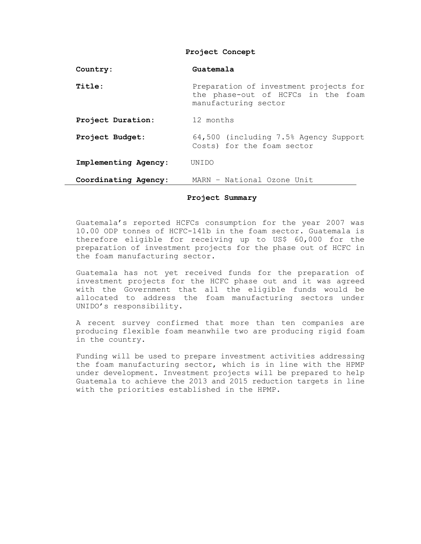| Country:             | Guatemala                                                                                            |  |
|----------------------|------------------------------------------------------------------------------------------------------|--|
| Title:               | Preparation of investment projects for<br>the phase-out of HCFCs in the foam<br>manufacturing sector |  |
| Project Duration:    | 12 months                                                                                            |  |
| Project Budget:      | 64,500 (including 7.5% Agency Support<br>Costs) for the foam sector                                  |  |
| Implementing Agency: | UNTDO                                                                                                |  |
| Coordinating Agency: | MARN - National Ozone Unit                                                                           |  |

#### **Project Summary**

Guatemala's reported HCFCs consumption for the year 2007 was 10.00 ODP tonnes of HCFC-141b in the foam sector. Guatemala is therefore eligible for receiving up to US\$ 60,000 for the preparation of investment projects for the phase out of HCFC in the foam manufacturing sector.

Guatemala has not yet received funds for the preparation of investment projects for the HCFC phase out and it was agreed with the Government that all the eligible funds would be allocated to address the foam manufacturing sectors under UNIDO's responsibility.

A recent survey confirmed that more than ten companies are producing flexible foam meanwhile two are producing rigid foam in the country.

Funding will be used to prepare investment activities addressing the foam manufacturing sector, which is in line with the HPMP under development. Investment projects will be prepared to help Guatemala to achieve the 2013 and 2015 reduction targets in line with the priorities established in the HPMP.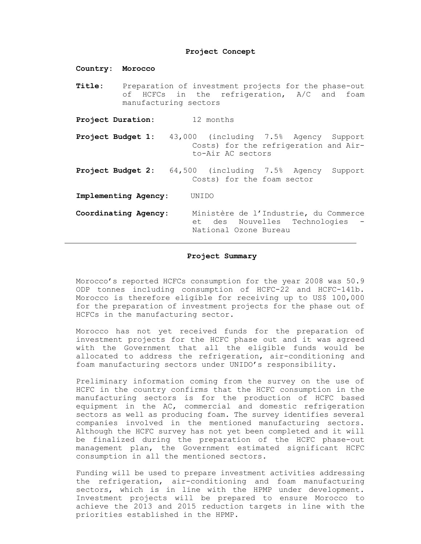**Country: Morocco Title:** Preparation of investment projects for the phase-out of HCFCs in the refrigeration, A/C and foam manufacturing sectors **Project Duration:** 12 months **Project Budget 1:** 43,000 (including 7.5% Agency Support Costs) for the refrigeration and Airto-Air AC sectors **Project Budget 2:** 64,500 (including 7.5% Agency Support Costs) for the foam sector **Implementing Agency:** UNIDO **Coordinating Agency:** Ministère de l'Industrie, du Commerce et des Nouvelles Technologies - National Ozone Bureau

#### **Project Summary**

Morocco's reported HCFCs consumption for the year 2008 was 50.9 ODP tonnes including consumption of HCFC-22 and HCFC-141b. Morocco is therefore eligible for receiving up to US\$ 100,000 for the preparation of investment projects for the phase out of HCFCs in the manufacturing sector.

Morocco has not yet received funds for the preparation of investment projects for the HCFC phase out and it was agreed with the Government that all the eligible funds would be allocated to address the refrigeration, air-conditioning and foam manufacturing sectors under UNIDO's responsibility.

Preliminary information coming from the survey on the use of HCFC in the country confirms that the HCFC consumption in the manufacturing sectors is for the production of HCFC based equipment in the AC, commercial and domestic refrigeration sectors as well as producing foam. The survey identifies several companies involved in the mentioned manufacturing sectors. Although the HCFC survey has not yet been completed and it will be finalized during the preparation of the HCFC phase-out management plan, the Government estimated significant HCFC consumption in all the mentioned sectors.

Funding will be used to prepare investment activities addressing the refrigeration, air-conditioning and foam manufacturing sectors, which is in line with the HPMP under development. Investment projects will be prepared to ensure Morocco to achieve the 2013 and 2015 reduction targets in line with the priorities established in the HPMP.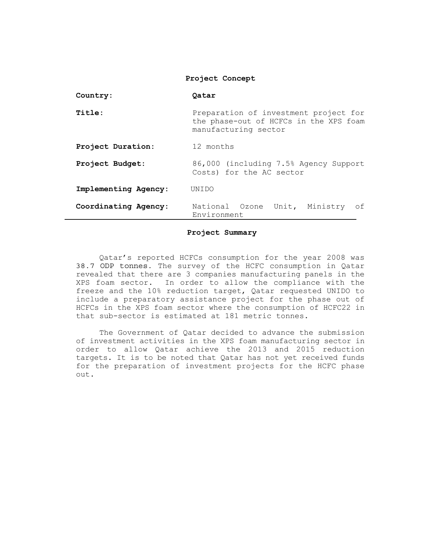| Country:             | Oatar                                                                                                   |  |  |
|----------------------|---------------------------------------------------------------------------------------------------------|--|--|
| Title:               | Preparation of investment project for<br>the phase-out of HCFCs in the XPS foam<br>manufacturing sector |  |  |
| Project Duration:    | 12 months                                                                                               |  |  |
| Project Budget:      | 86,000 (including 7.5% Agency Support<br>Costs) for the AC sector                                       |  |  |
| Implementing Agency: | UNIDO                                                                                                   |  |  |
| Coordinating Agency: | National Ozone Unit, Ministry<br>of<br>Environment                                                      |  |  |

#### **Project Summary**

 Qatar's reported HCFCs consumption for the year 2008 was 38.7 ODP tonnes. The survey of the HCFC consumption in Qatar revealed that there are 3 companies manufacturing panels in the XPS foam sector. In order to allow the compliance with the freeze and the 10% reduction target, Qatar requested UNIDO to include a preparatory assistance project for the phase out of HCFCs in the XPS foam sector where the consumption of HCFC22 in that sub-sector is estimated at 181 metric tonnes.

 The Government of Qatar decided to advance the submission of investment activities in the XPS foam manufacturing sector in order to allow Qatar achieve the 2013 and 2015 reduction targets. It is to be noted that Qatar has not yet received funds for the preparation of investment projects for the HCFC phase out.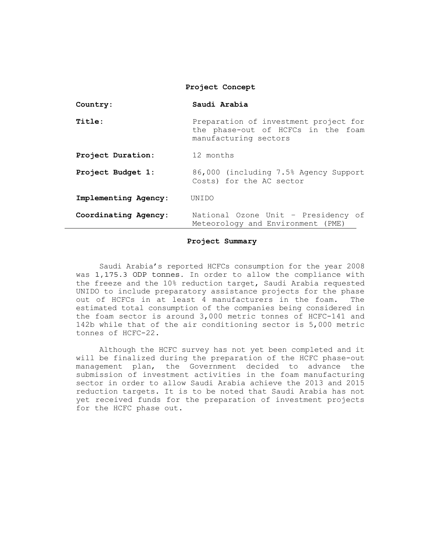| Country:             | Saudi Arabia                                                                                         |  |
|----------------------|------------------------------------------------------------------------------------------------------|--|
| Title:               | Preparation of investment project for<br>the phase-out of HCFCs in the foam<br>manufacturing sectors |  |
| Project Duration:    | 12 months                                                                                            |  |
| Project Budget 1:    | 86,000 (including 7.5% Agency Support<br>Costs) for the AC sector                                    |  |
| Implementing Agency: | UNTDO                                                                                                |  |
| Coordinating Agency: | National Ozone Unit - Presidency of<br>Meteorology and Environment (PME)                             |  |

#### **Project Summary**

 Saudi Arabia's reported HCFCs consumption for the year 2008 was 1,175.3 ODP tonnes. In order to allow the compliance with the freeze and the 10% reduction target, Saudi Arabia requested UNIDO to include preparatory assistance projects for the phase out of HCFCs in at least 4 manufacturers in the foam. The estimated total consumption of the companies being considered in the foam sector is around 3,000 metric tonnes of HCFC-141 and 142b while that of the air conditioning sector is 5,000 metric tonnes of HCFC-22.

 Although the HCFC survey has not yet been completed and it will be finalized during the preparation of the HCFC phase-out management plan, the Government decided to advance the submission of investment activities in the foam manufacturing sector in order to allow Saudi Arabia achieve the 2013 and 2015 reduction targets. It is to be noted that Saudi Arabia has not yet received funds for the preparation of investment projects for the HCFC phase out.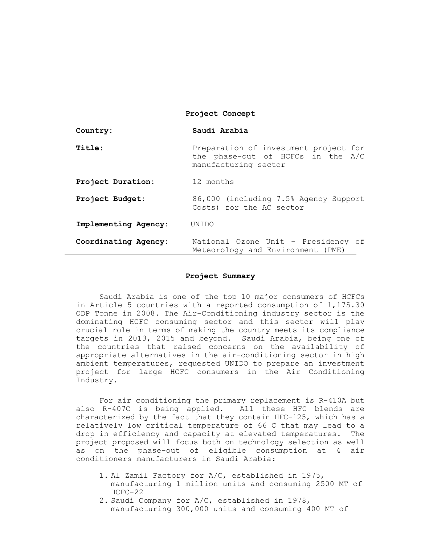| Country:             | Saudi Arabia                                                                                       |  |
|----------------------|----------------------------------------------------------------------------------------------------|--|
| Title:               | Preparation of investment project for<br>the phase-out of HCFCs in the A/C<br>manufacturing sector |  |
| Project Duration:    | 12 months                                                                                          |  |
| Project Budget:      | 86,000 (including 7.5% Agency Support<br>Costs) for the AC sector                                  |  |
| Implementing Agency: | UNTDO                                                                                              |  |
| Coordinating Agency: | National Ozone Unit - Presidency of<br>Meteorology and Environment (PME)                           |  |

#### **Project Summary**

 Saudi Arabia is one of the top 10 major consumers of HCFCs in Article 5 countries with a reported consumption of 1,175.30 ODP Tonne in 2008. The Air-Conditioning industry sector is the dominating HCFC consuming sector and this sector will play crucial role in terms of making the country meets its compliance targets in 2013, 2015 and beyond. Saudi Arabia, being one of the countries that raised concerns on the availability of appropriate alternatives in the air-conditioning sector in high ambient temperatures, requested UNIDO to prepare an investment project for large HCFC consumers in the Air Conditioning Industry.

 For air conditioning the primary replacement is R-410A but also R-407C is being applied. All these HFC blends are characterized by the fact that they contain HFC-125, which has a relatively low critical temperature of 66 C that may lead to a drop in efficiency and capacity at elevated temperatures. The project proposed will focus both on technology selection as well as on the phase-out of eligible consumption at 4 air conditioners manufacturers in Saudi Arabia:

- 1. Al Zamil Factory for A/C, established in 1975, manufacturing 1 million units and consuming 2500 MT of HCFC-22
- 2. Saudi Company for A/C, established in 1978, manufacturing 300,000 units and consuming 400 MT of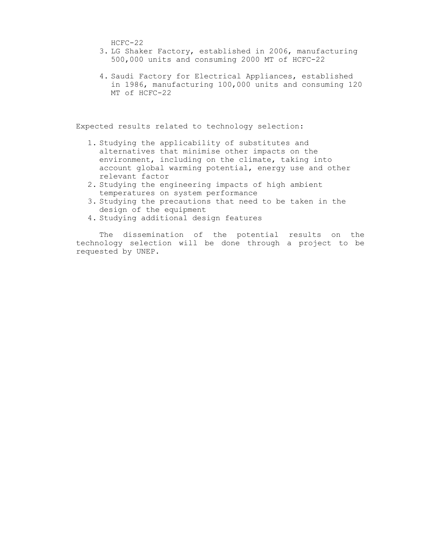HCFC-22

- 3. LG Shaker Factory, established in 2006, manufacturing 500,000 units and consuming 2000 MT of HCFC-22
- 4. Saudi Factory for Electrical Appliances, established in 1986, manufacturing 100,000 units and consuming 120 MT of HCFC-22

Expected results related to technology selection:

- 1. Studying the applicability of substitutes and alternatives that minimise other impacts on the environment, including on the climate, taking into account global warming potential, energy use and other relevant factor
- 2. Studying the engineering impacts of high ambient temperatures on system performance
- 3. Studying the precautions that need to be taken in the design of the equipment
- 4. Studying additional design features

 The dissemination of the potential results on the technology selection will be done through a project to be requested by UNEP.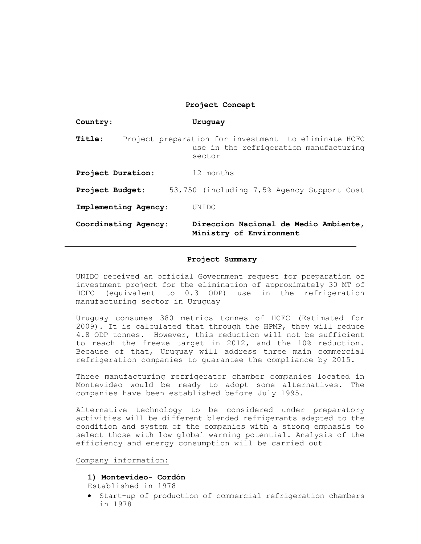| Country:             | Uruquay                                                                                                  |
|----------------------|----------------------------------------------------------------------------------------------------------|
| Title:               | Project preparation for investment to eliminate HCFC<br>use in the refrigeration manufacturing<br>sector |
| Project Duration:    | 12 months                                                                                                |
| Project Budget:      | 53,750 (including 7,5% Agency Support Cost                                                               |
| Implementing Agency: | UNTDO                                                                                                    |
| Coordinating Agency: | Direccion Nacional de Medio Ambiente,<br>Ministry of Environment                                         |

#### **Project Summary**

UNIDO received an official Government request for preparation of investment project for the elimination of approximately 30 MT of HCFC (equivalent to 0.3 ODP) use in the refrigeration manufacturing sector in Uruguay

Uruguay consumes 380 metrics tonnes of HCFC (Estimated for 2009). It is calculated that through the HPMP, they will reduce 4.8 ODP tonnes. However, this reduction will not be sufficient to reach the freeze target in 2012, and the 10% reduction. Because of that, Uruguay will address three main commercial refrigeration companies to guarantee the compliance by 2015.

Three manufacturing refrigerator chamber companies located in Montevideo would be ready to adopt some alternatives. The companies have been established before July 1995.

Alternative technology to be considered under preparatory activities will be different blended refrigerants adapted to the condition and system of the companies with a strong emphasis to select those with low global warming potential. Analysis of the efficiency and energy consumption will be carried out

Company information:

#### **1) Montevideo- Cordón**

Established in 1978

• Start-up of production of commercial refrigeration chambers in 1978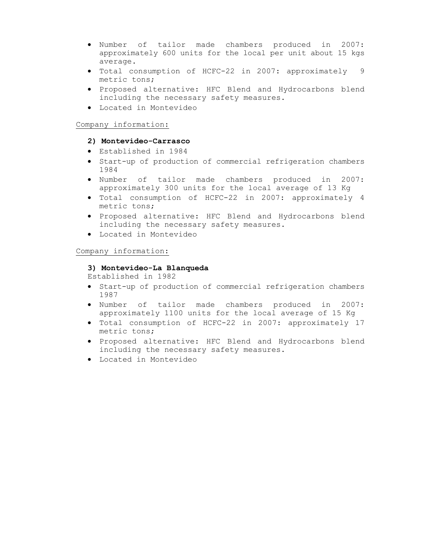- Number of tailor made chambers produced in 2007: approximately 600 units for the local per unit about 15 kgs average.
- Total consumption of HCFC-22 in 2007: approximately 9 metric tons;
- Proposed alternative: HFC Blend and Hydrocarbons blend including the necessary safety measures.
- Located in Montevideo

### Company information:

### **2) Montevideo-Carrasco**

- Established in 1984
- Start-up of production of commercial refrigeration chambers 1984
- Number of tailor made chambers produced in 2007: approximately 300 units for the local average of 13 Kg
- Total consumption of HCFC-22 in 2007: approximately 4 metric tons;
- Proposed alternative: HFC Blend and Hydrocarbons blend including the necessary safety measures.
- Located in Montevideo

### Company information:

### **3) Montevideo-La Blanqueda**

Established in 1982

- Start-up of production of commercial refrigeration chambers 1987
- Number of tailor made chambers produced in 2007: approximately 1100 units for the local average of 15 Kg
- Total consumption of HCFC-22 in 2007: approximately 17 metric tons;
- Proposed alternative: HFC Blend and Hydrocarbons blend including the necessary safety measures.
- Located in Montevideo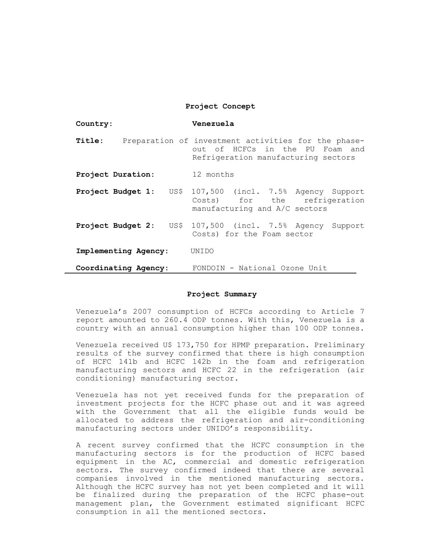| Country:                  | Venezuela                                                                                                                     |
|---------------------------|-------------------------------------------------------------------------------------------------------------------------------|
| Title:                    | Preparation of investment activities for the phase-<br>out of HCFCs in the PU Foam and<br>Refrigeration manufacturing sectors |
| Project Duration:         | 12 months                                                                                                                     |
| Project Budget 1:<br>US\$ | 107,500 (incl. 7.5% Agency Support<br>Costs) for the refrigeration<br>manufacturing and A/C sectors                           |
| Project Budget 2:<br>US\$ | 107,500 (incl. 7.5% Agency Support<br>Costs) for the Foam sector                                                              |
| Implementing Agency:      | UNIDO                                                                                                                         |
| Coordinating Agency:      | FONDOIN - National Ozone Unit                                                                                                 |

#### **Project Summary**

Venezuela's 2007 consumption of HCFCs according to Article 7 report amounted to 260.4 ODP tonnes. With this, Venezuela is a country with an annual consumption higher than 100 ODP tonnes.

Venezuela received U\$ 173,750 for HPMP preparation. Preliminary results of the survey confirmed that there is high consumption of HCFC 141b and HCFC 142b in the foam and refrigeration manufacturing sectors and HCFC 22 in the refrigeration (air conditioning) manufacturing sector.

Venezuela has not yet received funds for the preparation of investment projects for the HCFC phase out and it was agreed with the Government that all the eligible funds would be allocated to address the refrigeration and air-conditioning manufacturing sectors under UNIDO's responsibility.

A recent survey confirmed that the HCFC consumption in the manufacturing sectors is for the production of HCFC based equipment in the AC, commercial and domestic refrigeration sectors. The survey confirmed indeed that there are several companies involved in the mentioned manufacturing sectors. Although the HCFC survey has not yet been completed and it will be finalized during the preparation of the HCFC phase-out management plan, the Government estimated significant HCFC consumption in all the mentioned sectors.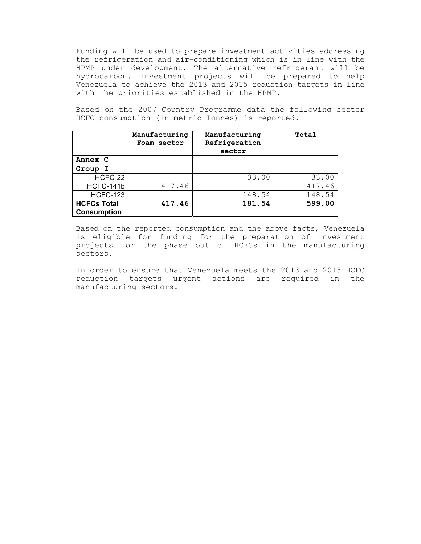Funding will be used to prepare investment activities addressing the refrigeration and air-conditioning which is in line with the HPMP under development. The alternative refrigerant will be hydrocarbon. Investment projects will be prepared to help Venezuela to achieve the 2013 and 2015 reduction targets in line with the priorities established in the HPMP.

Based on the 2007 Country Programme data the following sector HCFC-consumption (in metric Tonnes) is reported.

|                                          | Manufacturing<br>Foam sector | Manufacturing<br>Refrigeration<br>sector | Total  |
|------------------------------------------|------------------------------|------------------------------------------|--------|
| Annex C                                  |                              |                                          |        |
| Group I                                  |                              |                                          |        |
| HCFC-22                                  |                              | 33.00                                    | 33.00  |
| HCFC-141b                                | 417.46                       |                                          | 417.46 |
| <b>HCFC-123</b>                          |                              | 148.54                                   | 148.54 |
| <b>HCFCs Total</b><br><b>Consumption</b> | 417.46                       | 181.54                                   | 599.00 |

Based on the reported consumption and the above facts, Venezuela is eligible for funding for the preparation of investment projects for the phase out of HCFCs in the manufacturing sectors.

In order to ensure that Venezuela meets the 2013 and 2015 HCFC reduction targets urgent actions are required in the manufacturing sectors.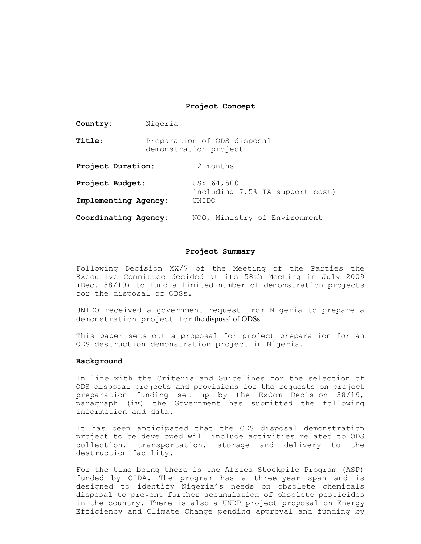| Country:             | Nigeria                                              |                                                |  |
|----------------------|------------------------------------------------------|------------------------------------------------|--|
| Title:               | Preparation of ODS disposal<br>demonstration project |                                                |  |
| Project Duration:    | 12 months                                            |                                                |  |
| Project Budget:      |                                                      | US\$ 64,500<br>including 7.5% IA support cost) |  |
| Implementing Agency: |                                                      | UNTDO                                          |  |
| Coordinating Agency: |                                                      | NOO, Ministry of Environment                   |  |

#### **Project Summary**

Following Decision XX/7 of the Meeting of the Parties the Executive Committee decided at its 58th Meeting in July 2009 (Dec. 58/19) to fund a limited number of demonstration projects for the disposal of ODSs.

UNIDO received a government request from Nigeria to prepare a demonstration project for the disposal of ODSs.

This paper sets out a proposal for project preparation for an ODS destruction demonstration project in Nigeria.

#### **Background**

In line with the Criteria and Guidelines for the selection of ODS disposal projects and provisions for the requests on project preparation funding set up by the ExCom Decision 58/19, paragraph (iv) the Government has submitted the following information and data.

It has been anticipated that the ODS disposal demonstration project to be developed will include activities related to ODS collection, transportation, storage and delivery to the destruction facility.

For the time being there is the Africa Stockpile Program (ASP) funded by CIDA. The program has a three-year span and is designed to identify Nigeria's needs on obsolete chemicals disposal to prevent further accumulation of obsolete pesticides in the country. There is also a UNDP project proposal on Energy Efficiency and Climate Change pending approval and funding by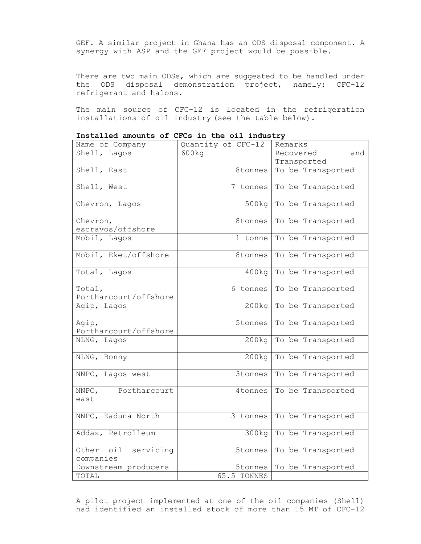GEF. A similar project in Ghana has an ODS disposal component. A synergy with ASP and the GEF project would be possible.

There are two main ODSs, which are suggested to be handled under the ODS disposal demonstration project, namely: CFC-12 refrigerant and halons.

The main source of CFC-12 is located in the refrigeration installations of oil industry (see the table below).

| Name of Company                  | Quantity of CFC-12 | Remarks                 |
|----------------------------------|--------------------|-------------------------|
| Shell, Lagos                     | 600kg              | Recovered<br>and        |
|                                  |                    | Transported             |
| Shell, East                      | 8tonnes            | To be Transported       |
| Shell, West                      | 7 tonnes           | To be Transported       |
| Chevron, Lagos                   | 500kg              | To be Transported       |
| Chevron,                         | 8tonnes            | To be Transported       |
| escravos/offshore                |                    |                         |
| Mobil, Lagos                     | 1 tonne            | To be Transported       |
| Mobil, Eket/offshore             | 8tonnes            | To be Transported       |
| Total, Lagos                     | 400kg              | To be Transported       |
| Total,<br>Portharcourt/offshore  | 6 tonnes           | To be Transported       |
| Agip, Lagos                      | 200kq              | To be Transported       |
| Agip,<br>Portharcourt/offshore   | 5tonnes            | To be Transported       |
| NLNG, Lagos                      | 200kq              | To be Transported       |
| NLNG, Bonny                      | 200kg              | To be Transported       |
| NNPC, Lagos west                 | 3tonnes            | To be Transported       |
| NNPC, Portharcourt<br>east       | 4tonnes            | To be Transported       |
| NNPC, Kaduna North               | 3 tonnes           | To be Transported       |
| Addax, Petrolleum                |                    | 300kg To be Transported |
| Other oil servicing<br>companies | 5tonnes            | To be Transported       |
| Downstream producers             | 5tonnes            | To be Transported       |
| TOTAL                            | 65.5 TONNES        |                         |
|                                  |                    |                         |

**Installed amounts of CFCs in the oil industry** 

A pilot project implemented at one of the oil companies (Shell) had identified an installed stock of more than 15 MT of CFC-12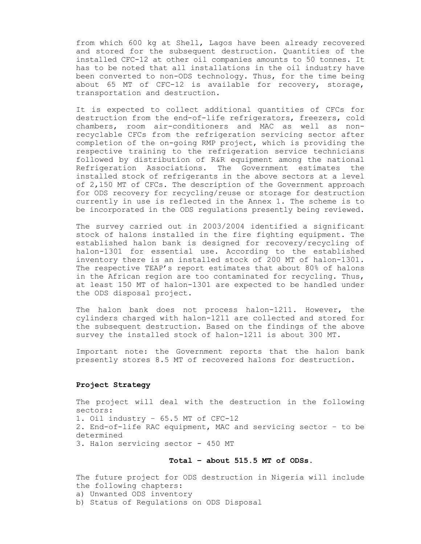from which 600 kg at Shell, Lagos have been already recovered and stored for the subsequent destruction. Quantities of the installed CFC-12 at other oil companies amounts to 50 tonnes. It has to be noted that all installations in the oil industry have been converted to non-ODS technology. Thus, for the time being about 65 MT of CFC-12 is available for recovery, storage, transportation and destruction.

It is expected to collect additional quantities of CFCs for destruction from the end-of-life refrigerators, freezers, cold chambers, room air-conditioners and MAC as well as nonrecyclable CFCs from the refrigeration servicing sector after completion of the on-going RMP project, which is providing the respective training to the refrigeration service technicians followed by distribution of R&R equipment among the national Refrigeration Associations. The Government estimates the installed stock of refrigerants in the above sectors at a level of 2,150 MT of CFCs. The description of the Government approach for ODS recovery for recycling/reuse or storage for destruction currently in use is reflected in the Annex 1. The scheme is to be incorporated in the ODS regulations presently being reviewed.

The survey carried out in 2003/2004 identified a significant stock of halons installed in the fire fighting equipment. The established halon bank is designed for recovery/recycling of halon-1301 for essential use. According to the established inventory there is an installed stock of 200 MT of halon-1301. The respective TEAP's report estimates that about 80% of halons in the African region are too contaminated for recycling. Thus, at least 150 MT of halon-1301 are expected to be handled under the ODS disposal project.

The halon bank does not process halon-1211. However, the cylinders charged with halon-1211 are collected and stored for the subsequent destruction. Based on the findings of the above survey the installed stock of halon-1211 is about 300 MT.

Important note: the Government reports that the halon bank presently stores 8.5 MT of recovered halons for destruction.

#### **Project Strategy**

The project will deal with the destruction in the following sectors: 1. Oil industry – 65.5 MT of CFC-12 2. End-of-life RAC equipment, MAC and servicing sector – to be determined 3. Halon servicing sector - 450 MT

#### **Total – about 515.5 MT of ODSs.**

The future project for ODS destruction in Nigeria will include the following chapters: a) Unwanted ODS inventory b) Status of Regulations on ODS Disposal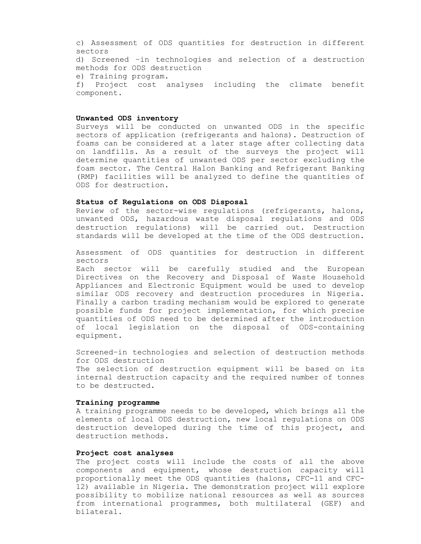c) Assessment of ODS quantities for destruction in different sectors d) Screened –in technologies and selection of a destruction methods for ODS destruction e) Training program. f) Project cost analyses including the climate benefit component.

#### **Unwanted ODS inventory**

Surveys will be conducted on unwanted ODS in the specific sectors of application (refrigerants and halons). Destruction of foams can be considered at a later stage after collecting data on landfills. As a result of the surveys the project will determine quantities of unwanted ODS per sector excluding the foam sector. The Central Halon Banking and Refrigerant Banking (RMP) facilities will be analyzed to define the quantities of ODS for destruction.

#### **Status of Regulations on ODS Disposal**

Review of the sector-wise regulations (refrigerants, halons, unwanted ODS, hazardous waste disposal regulations and ODS destruction regulations) will be carried out. Destruction standards will be developed at the time of the ODS destruction.

Assessment of ODS quantities for destruction in different sectors

Each sector will be carefully studied and the European Directives on the Recovery and Disposal of Waste Household Appliances and Electronic Equipment would be used to develop similar ODS recovery and destruction procedures in Nigeria. Finally a carbon trading mechanism would be explored to generate possible funds for project implementation, for which precise quantities of ODS need to be determined after the introduction of local legislation on the disposal of ODS-containing equipment.

Screened–in technologies and selection of destruction methods for ODS destruction

The selection of destruction equipment will be based on its internal destruction capacity and the required number of tonnes to be destructed.

#### **Training programme**

A training programme needs to be developed, which brings all the elements of local ODS destruction, new local regulations on ODS destruction developed during the time of this project, and destruction methods.

#### **Project cost analyses**

The project costs will include the costs of all the above components and equipment, whose destruction capacity will proportionally meet the ODS quantities (halons, CFC-11 and CFC-12) available in Nigeria. The demonstration project will explore possibility to mobilize national resources as well as sources from international programmes, both multilateral (GEF) and bilateral.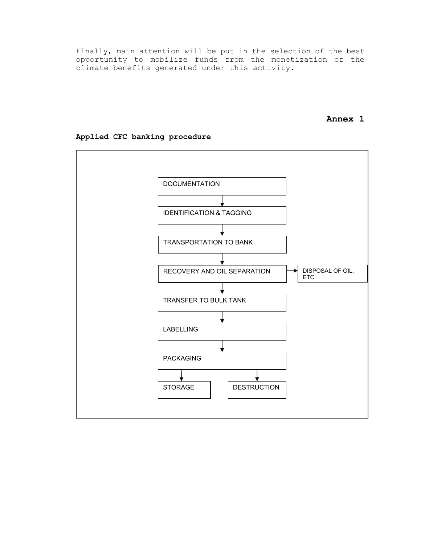Finally, main attention will be put in the selection of the best opportunity to mobilize funds from the monetization of the climate benefits generated under this activity.

# **Annex 1**



### **Applied CFC banking procedure**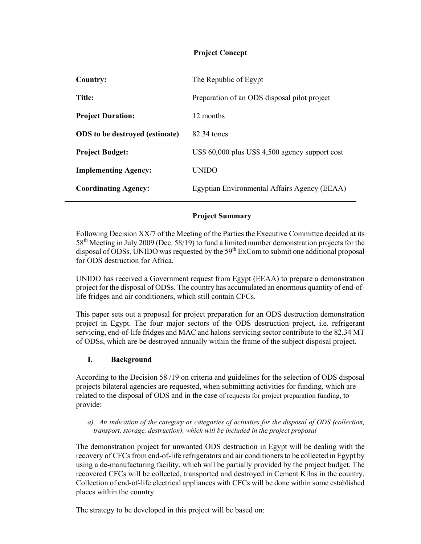| The Republic of Egypt                           |
|-------------------------------------------------|
| Preparation of an ODS disposal pilot project    |
| 12 months                                       |
| 82.34 tones                                     |
| US\$ 60,000 plus US\$ 4,500 agency support cost |
| <b>UNIDO</b>                                    |
| Egyptian Environmental Affairs Agency (EEAA)    |
|                                                 |

# **Project Summary**

Following Decision XX/7 of the Meeting of the Parties the Executive Committee decided at its 58<sup>th</sup> Meeting in July 2009 (Dec. 58/19) to fund a limited number demonstration projects for the disposal of ODSs. UNIDO was requested by the  $59<sup>th</sup>$  ExCom to submit one additional proposal for ODS destruction for Africa.

UNIDO has received a Government request from Egypt (EEAA) to prepare a demonstration project for the disposal of ODSs. The country has accumulated an enormous quantity of end-oflife fridges and air conditioners, which still contain CFCs.

This paper sets out a proposal for project preparation for an ODS destruction demonstration project in Egypt. The four major sectors of the ODS destruction project, i.e. refrigerant servicing, end-of-life fridges and MAC and halons servicing sector contribute to the 82.34 MT of ODSs, which are be destroyed annually within the frame of the subject disposal project.

# **I. Background**

According to the Decision 58 /19 on criteria and guidelines for the selection of ODS disposal projects bilateral agencies are requested, when submitting activities for funding, which are related to the disposal of ODS and in the case of requests for project preparation funding, to provide:

*a) An indication of the category or categories of activities for the disposal of ODS (collection, transport, storage, destruction), which will be included in the project proposal* 

The demonstration project for unwanted ODS destruction in Egypt will be dealing with the recovery of CFCs from end-of-life refrigerators and air conditioners to be collected in Egypt by using a de-manufacturing facility, which will be partially provided by the project budget. The recovered CFCs will be collected, transported and destroyed in Cement Kilns in the country. Collection of end-of-life electrical appliances with CFCs will be done within some established places within the country.

The strategy to be developed in this project will be based on: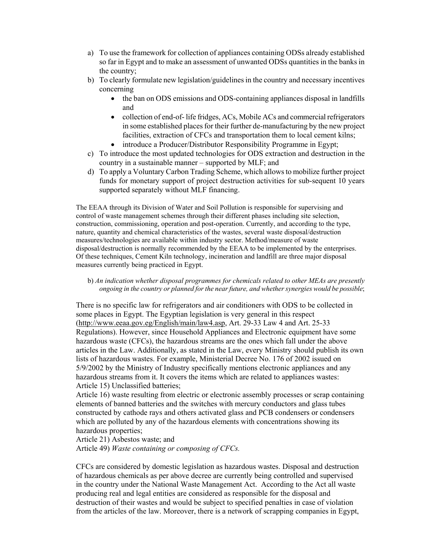- a) To use the framework for collection of appliances containing ODSs already established so far in Egypt and to make an assessment of unwanted ODSs quantities in the banks in the country;
- b) To clearly formulate new legislation/guidelines in the country and necessary incentives concerning
	- the ban on ODS emissions and ODS-containing appliances disposal in landfills and
	- collection of end-of- life fridges, ACs, Mobile ACs and commercial refrigerators in some established places for their further de-manufacturing by the new project facilities, extraction of CFCs and transportation them to local cement kilns;
	- introduce a Producer/Distributor Responsibility Programme in Egypt;
- c) To introduce the most updated technologies for ODS extraction and destruction in the country in a sustainable manner – supported by MLF; and
- d) To apply a Voluntary Carbon Trading Scheme, which allows to mobilize further project funds for monetary support of project destruction activities for sub-sequent 10 years supported separately without MLF financing.

The EEAA through its Division of Water and Soil Pollution is responsible for supervising and control of waste management schemes through their different phases including site selection, construction, commissioning, operation and post-operation. Currently, and according to the type, nature, quantity and chemical characteristics of the wastes, several waste disposal/destruction measures/technologies are available within industry sector. Method/measure of waste disposal/destruction is normally recommended by the EEAA to be implemented by the enterprises. Of these techniques, Cement Kiln technology, incineration and landfill are three major disposal measures currently being practiced in Egypt.

b) *An indication whether disposal programmes for chemicals related to other MEAs are presently ongoing in the country or planned for the near future, and whether synergies would be possible*;

There is no specific law for refrigerators and air conditioners with ODS to be collected in some places in Egypt. The Egyptian legislation is very general in this respect (http://www.eeaa.gov.eg/English/main/law4.asp, Art. 29-33 Law 4 and Art. 25-33 Regulations). However, since Household Appliances and Electronic equipment have some hazardous waste (CFCs), the hazardous streams are the ones which fall under the above articles in the Law. Additionally, as stated in the Law, every Ministry should publish its own lists of hazardous wastes. For example, Ministerial Decree No. 176 of 2002 issued on 5/9/2002 by the Ministry of Industry specifically mentions electronic appliances and any hazardous streams from it. It covers the items which are related to appliances wastes: Article 15) Unclassified batteries;

Article 16) waste resulting from electric or electronic assembly processes or scrap containing elements of banned batteries and the switches with mercury conductors and glass tubes constructed by cathode rays and others activated glass and PCB condensers or condensers which are polluted by any of the hazardous elements with concentrations showing its hazardous properties;

Article 21) Asbestos waste; and

Article 49) *Waste containing or composing of CFCs.*

CFCs are considered by domestic legislation as hazardous wastes. Disposal and destruction of hazardous chemicals as per above decree are currently being controlled and supervised in the country under the National Waste Management Act. According to the Act all waste producing real and legal entities are considered as responsible for the disposal and destruction of their wastes and would be subject to specified penalties in case of violation from the articles of the law. Moreover, there is a network of scrapping companies in Egypt,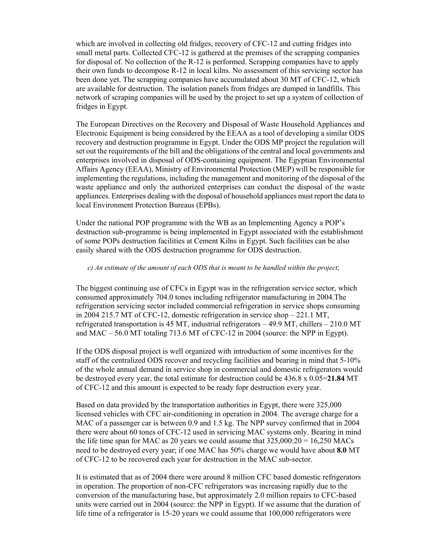which are involved in collecting old fridges, recovery of CFC-12 and cutting fridges into small metal parts. Collected CFC-12 is gathered at the premises of the scrapping companies for disposal of. No collection of the R-12 is performed. Scrapping companies have to apply their own funds to decompose R-12 in local kilns. No assessment of this servicing sector has been done yet. The scrapping companies have accumulated about 30 MT of CFC-12, which are available for destruction. The isolation panels from fridges are dumped in landfills. This network of scraping companies will be used by the project to set up a system of collection of fridges in Egypt.

The European Directives on the Recovery and Disposal of Waste Household Appliances and Electronic Equipment is being considered by the EEAA as a tool of developing a similar ODS recovery and destruction programme in Egypt. Under the ODS MP project the regulation will set out the requirements of the bill and the obligations of the central and local governments and enterprises involved in disposal of ODS-containing equipment. The Egyptian Environmental Affairs Agency (EEAA), Ministry of Environmental Protection (MEP) will be responsible for implementing the regulations, including the management and monitoring of the disposal of the waste appliance and only the authorized enterprises can conduct the disposal of the waste appliances. Enterprises dealing with the disposal of household appliances must report the data to local Environment Protection Bureaus (EPBs).

Under the national POP programme with the WB as an Implementing Agency a POP's destruction sub-programme is being implemented in Egypt associated with the establishment of some POPs destruction facilities at Cement Kilns in Egypt. Such facilities can be also easily shared with the ODS destruction programme for ODS destruction.

### *c) An estimate of the amount of each ODS that is meant to be handled within the project*;

The biggest continuing use of CFCs in Egypt was in the refrigeration service sector, which consumed approximately 704.0 tones including refrigerator manufacturing in 2004.The refrigeration servicing sector included commercial refrigeration in service shops consuming in 2004 215.7 MT of CFC-12, domestic refrigeration in service shop – 221.1 MT, refrigerated transportation is 45 MT, industrial refrigerators – 49.9 MT, chillers – 210.0 MT and MAC – 56.0 MT totaling 713.6 MT of CFC-12 in 2004 (source: the NPP in Egypt).

If the ODS disposal project is well organized with introduction of some incentives for the staff of the centralized ODS recover and recycling facilities and bearing in mind that 5-10% of the whole annual demand in service shop in commercial and domestic refrigerators would be destroyed every year, the total estimate for destruction could be 436.8 x 0.05=**21.84** MT of CFC-12 and this amount is expected to be ready fopr destruction every year.

Based on data provided by the transportation authorities in Egypt, there were 325,000 licensed vehicles with CFC air-conditioning in operation in 2004. The average charge for a MAC of a passenger car is between 0.9 and 1.5 kg. The NPP survey confirmed that in 2004 there were about 60 tones of CFC-12 used in servicing MAC systems only. Bearing in mind the life time span for MAC as 20 years we could assume that  $325,000:20 = 16,250$  MACs need to be destroyed every year; if one MAC has 50% charge we would have about **8.0** MT of CFC-12 to be recovered each year for destruction in the MAC sub-sector.

It is estimated that as of 2004 there were around 8 million CFC based domestic refrigerators in operation. The proportion of non-CFC refrigerators was increasing rapidly due to the conversion of the manufacturing base, but approximately 2.0 million repairs to CFC-based units were carried out in 2004 (source: the NPP in Egypt). If we assume that the duration of life time of a refrigerator is 15-20 years we could assume that 100,000 refrigerators were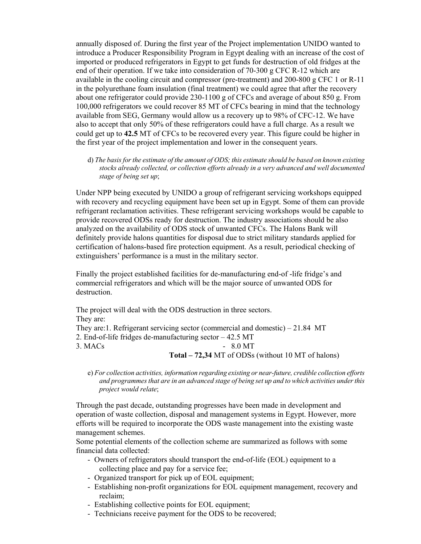annually disposed of. During the first year of the Project implementation UNIDO wanted to introduce a Producer Responsibility Program in Egypt dealing with an increase of the cost of imported or produced refrigerators in Egypt to get funds for destruction of old fridges at the end of their operation. If we take into consideration of 70-300 g CFC R-12 which are available in the cooling circuit and compressor (pre-treatment) and 200-800 g CFC 1 or R-11 in the polyurethane foam insulation (final treatment) we could agree that after the recovery about one refrigerator could provide 230-1100 g of CFCs and average of about 850 g. From 100,000 refrigerators we could recover 85 MT of CFCs bearing in mind that the technology available from SEG, Germany would allow us a recovery up to 98% of CFC-12. We have also to accept that only 50% of these refrigerators could have a full charge. As a result we could get up to **42.5** MT of CFCs to be recovered every year. This figure could be higher in the first year of the project implementation and lower in the consequent years.

d) *The basis for the estimate of the amount of ODS; this estimate should be based on known existing stocks already collected, or collection efforts already in a very advanced and well documented stage of being set up*;

Under NPP being executed by UNIDO a group of refrigerant servicing workshops equipped with recovery and recycling equipment have been set up in Egypt. Some of them can provide refrigerant reclamation activities. These refrigerant servicing workshops would be capable to provide recovered ODSs ready for destruction. The industry associations should be also analyzed on the availability of ODS stock of unwanted CFCs. The Halons Bank will definitely provide halons quantities for disposal due to strict military standards applied for certification of halons-based fire protection equipment. As a result, periodical checking of extinguishers' performance is a must in the military sector.

Finally the project established facilities for de-manufacturing end-of -life fridge's and commercial refrigerators and which will be the major source of unwanted ODS for destruction.

The project will deal with the ODS destruction in three sectors. They are: They are:1. Refrigerant servicing sector (commercial and domestic) – 21.84 MT 2. End-of-life fridges de-manufacturing sector – 42.5 MT  $3. \text{MACs}$  - 8.0 MT **Total – 72,34** MT of ODSs (without 10 MT of halons)

e) *For collection activities, information regarding existing or near-future, credible collection efforts and programmes that are in an advanced stage of being set up and to which activities under this project would relate*;

Through the past decade, outstanding progresses have been made in development and operation of waste collection, disposal and management systems in Egypt. However, more efforts will be required to incorporate the ODS waste management into the existing waste management schemes.

Some potential elements of the collection scheme are summarized as follows with some financial data collected:

- Owners of refrigerators should transport the end-of-life (EOL) equipment to a collecting place and pay for a service fee;
- Organized transport for pick up of EOL equipment;
- Establishing non-profit organizations for EOL equipment management, recovery and reclaim;
- Establishing collective points for EOL equipment;
- Technicians receive payment for the ODS to be recovered;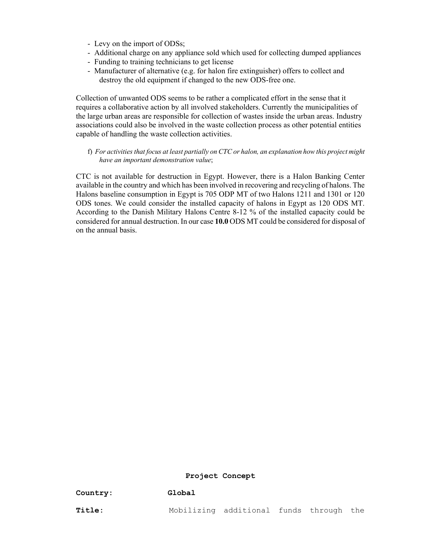- Levy on the import of ODSs;
- Additional charge on any appliance sold which used for collecting dumped appliances
- Funding to training technicians to get license
- Manufacturer of alternative (e.g. for halon fire extinguisher) offers to collect and destroy the old equipment if changed to the new ODS-free one.

Collection of unwanted ODS seems to be rather a complicated effort in the sense that it requires a collaborative action by all involved stakeholders. Currently the municipalities of the large urban areas are responsible for collection of wastes inside the urban areas. Industry associations could also be involved in the waste collection process as other potential entities capable of handling the waste collection activities.

f) *For activities that focus at least partially on CTC or halon, an explanation how this project might have an important demonstration value*;

CTC is not available for destruction in Egypt. However, there is a Halon Banking Center available in the country and which has been involved in recovering and recycling of halons. The Halons baseline consumption in Egypt is 705 ODP MT of two Halons 1211 and 1301 or 120 ODS tones. We could consider the installed capacity of halons in Egypt as 120 ODS MT. According to the Danish Military Halons Centre 8-12 % of the installed capacity could be considered for annual destruction. In our case **10.0** ODS MT could be considered for disposal of on the annual basis.

#### **Project Concept**

| Country: | Global |
|----------|--------|
|----------|--------|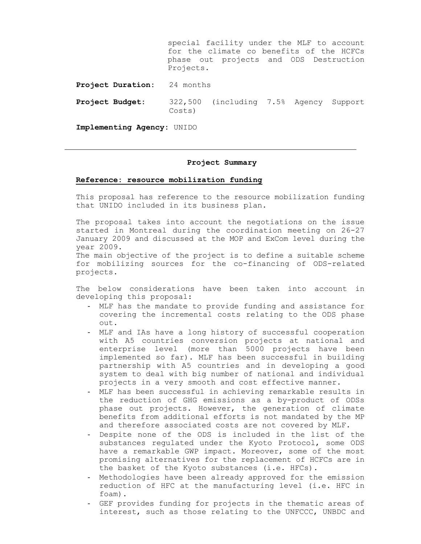special facility under the MLF to account for the climate co benefits of the HCFCs phase out projects and ODS Destruction Projects. **Project Duration:** 24 months **Project Budget:** 322,500 (including 7.5% Agency Support Costs)

**Implementing Agency:** UNIDO

#### **Project Summary**

#### **Reference: resource mobilization funding**

This proposal has reference to the resource mobilization funding that UNIDO included in its business plan.

The proposal takes into account the negotiations on the issue started in Montreal during the coordination meeting on 26-27 January 2009 and discussed at the MOP and ExCom level during the year 2009.

The main objective of the project is to define a suitable scheme for mobilizing sources for the co-financing of ODS-related projects.

The below considerations have been taken into account in developing this proposal:

- MLF has the mandate to provide funding and assistance for covering the incremental costs relating to the ODS phase out.
- MLF and IAs have a long history of successful cooperation with A5 countries conversion projects at national and enterprise level (more than 5000 projects have been implemented so far). MLF has been successful in building partnership with A5 countries and in developing a good system to deal with big number of national and individual projects in a very smooth and cost effective manner.
- MLF has been successful in achieving remarkable results in the reduction of GHG emissions as a by-product of ODSs phase out projects. However, the generation of climate benefits from additional efforts is not mandated by the MP and therefore associated costs are not covered by MLF.
- Despite none of the ODS is included in the list of the substances regulated under the Kyoto Protocol, some ODS have a remarkable GWP impact. Moreover, some of the most promising alternatives for the replacement of HCFCs are in the basket of the Kyoto substances (i.e. HFCs).
- Methodologies have been already approved for the emission reduction of HFC at the manufacturing level (i.e. HFC in foam).
- GEF provides funding for projects in the thematic areas of interest, such as those relating to the UNFCCC, UNBDC and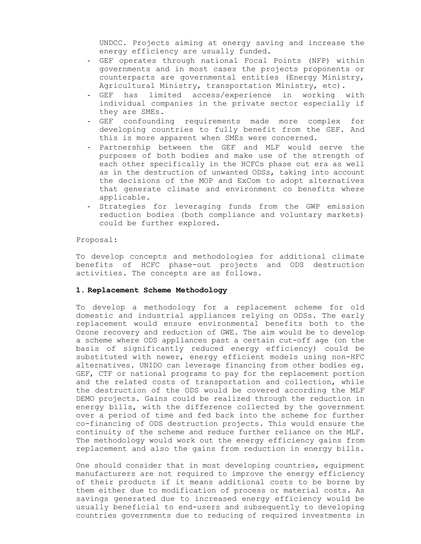UNDCC. Projects aiming at energy saving and increase the energy efficiency are usually funded.

- GEF operates through national Focal Points (NFP) within governments and in most cases the projects proponents or counterparts are governmental entities (Energy Ministry, Agricultural Ministry, transportation Ministry, etc).
- GEF has limited access/experience in working with individual companies in the private sector especially if they are SMEs.
- GEF confounding requirements made more complex for developing countries to fully benefit from the GEF. And this is more apparent when SMEs were concerned.
- Partnership between the GEF and MLF would serve the purposes of both bodies and make use of the strength of each other specifically in the HCFCs phase out era as well as in the destruction of unwanted ODSs, taking into account the decisions of the MOP and ExCom to adopt alternatives that generate climate and environment co benefits where applicable.
- Strategies for leveraging funds from the GWP emission reduction bodies (both compliance and voluntary markets) could be further explored.

#### Proposal:

To develop concepts and methodologies for additional climate benefits of HCFC phase-out projects and ODS destruction activities. The concepts are as follows.

#### **1. Replacement Scheme Methodology**

To develop a methodology for a replacement scheme for old domestic and industrial appliances relying on ODSs. The early replacement would ensure environmental benefits both to the Ozone recovery and reduction of GWE. The aim would be to develop a scheme where ODS appliances past a certain cut-off age (on the basis of significantly reduced energy efficiency) could be substituted with newer, energy efficient models using non-HFC alternatives. UNIDO can leverage financing from other bodies eg. GEF, CTF or national programs to pay for the replacement portion and the related costs of transportation and collection, while the destruction of the ODS would be covered according the MLF DEMO projects. Gains could be realized through the reduction in energy bills, with the difference collected by the government over a period of time and fed back into the scheme for further co-financing of ODS destruction projects. This would ensure the continuity of the scheme and reduce further reliance on the MLF. The methodology would work out the energy efficiency gains from replacement and also the gains from reduction in energy bills.

One should consider that in most developing countries, equipment manufacturers are not required to improve the energy efficiency of their products if it means additional costs to be borne by them either due to modification of process or material costs. As savings generated due to increased energy efficiency would be usually beneficial to end-users and subsequently to developing countries governments due to reducing of required investments in